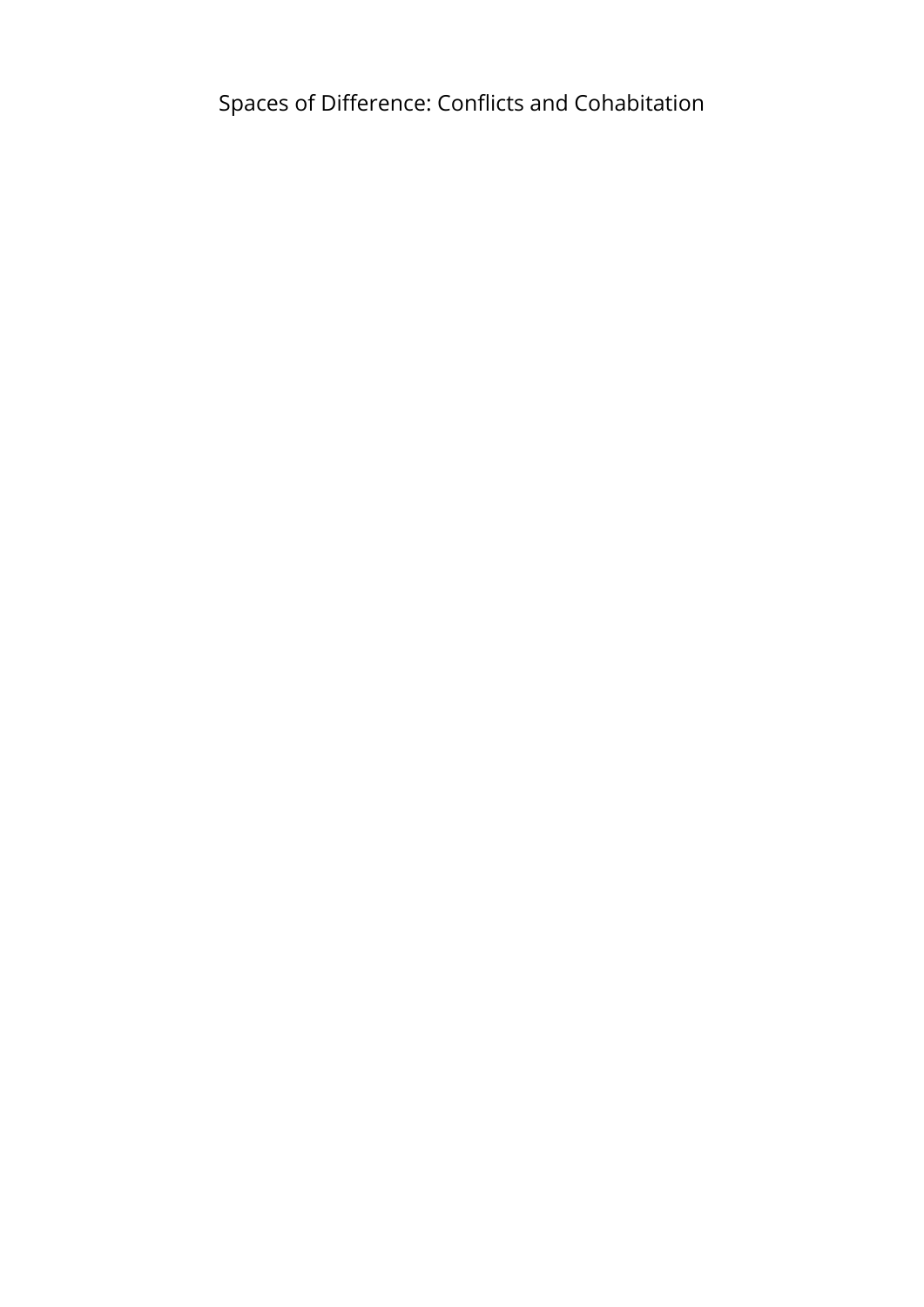Spaces of Difference: Conflicts and Cohabitation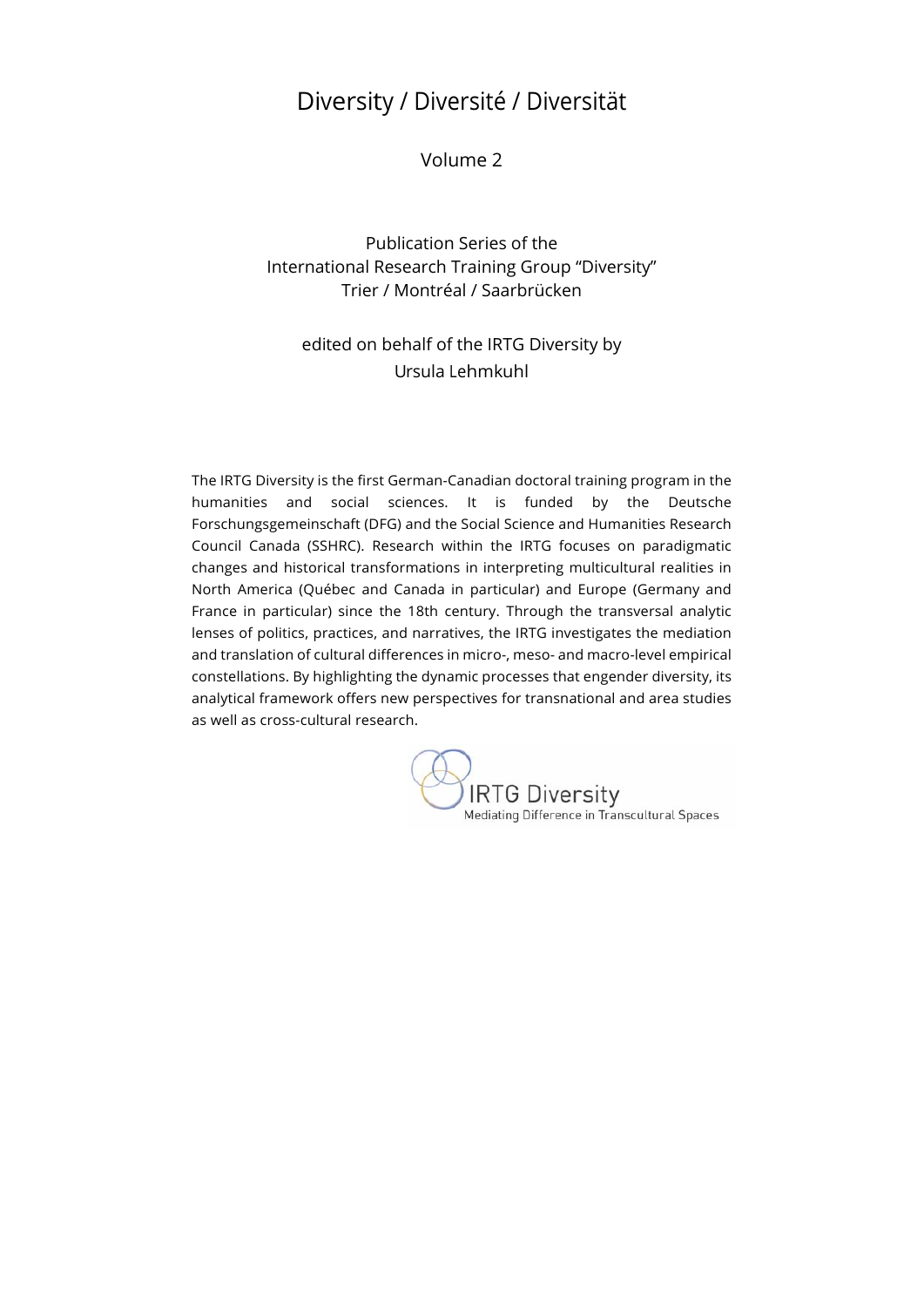## Diversity / Diversité / Diversität

Volume 2

Publication Series of the International Research Training Group "Diversity" Trier / Montréal / Saarbrücken

### edited on behalf of the IRTG Diversity by Ursula Lehmkuhl

The IRTG Diversity is the first German-Canadian doctoral training program in the humanities and social sciences. It is funded by the Deutsche Forschungsgemeinschaft (DFG) and the Social Science and Humanities Research Council Canada (SSHRC). Research within the IRTG focuses on paradigmatic changes and historical transformations in interpreting multicultural realities in North America (Québec and Canada in particular) and Europe (Germany and France in particular) since the 18th century. Through the transversal analytic lenses of politics, practices, and narratives, the IRTG investigates the mediation and translation of cultural differences in micro-, meso- and macro-level empirical constellations. By highlighting the dynamic processes that engender diversity, its analytical framework offers new perspectives for transnational and area studies as well as cross-cultural research.

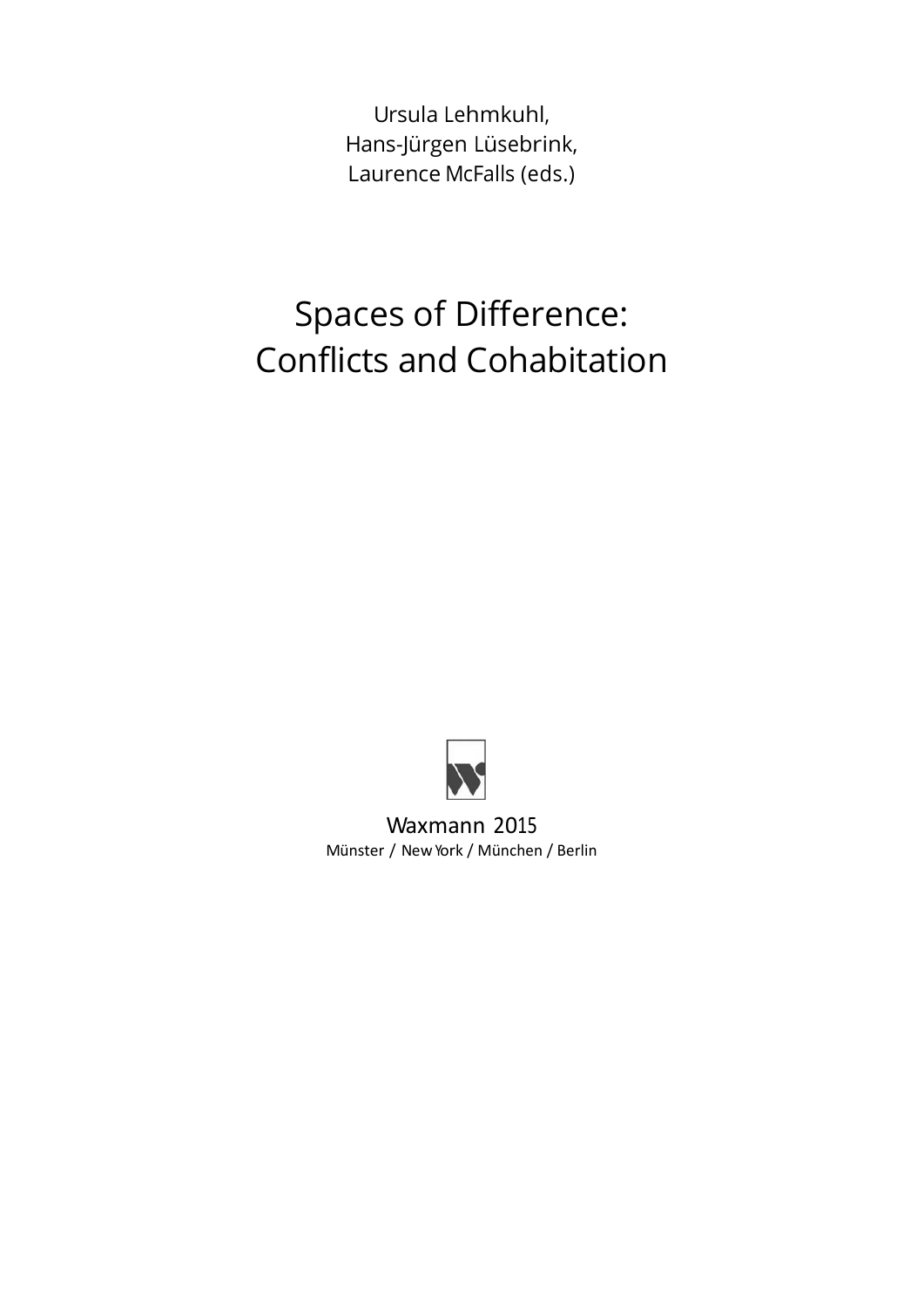Ursula Lehmkuhl, Hans-Jürgen Lüsebrink, Laurence McFalls (eds.)

# Spaces of Difference: Conflicts and Cohabitation



Waxmann 2015 Münster / NewYork / München / Berlin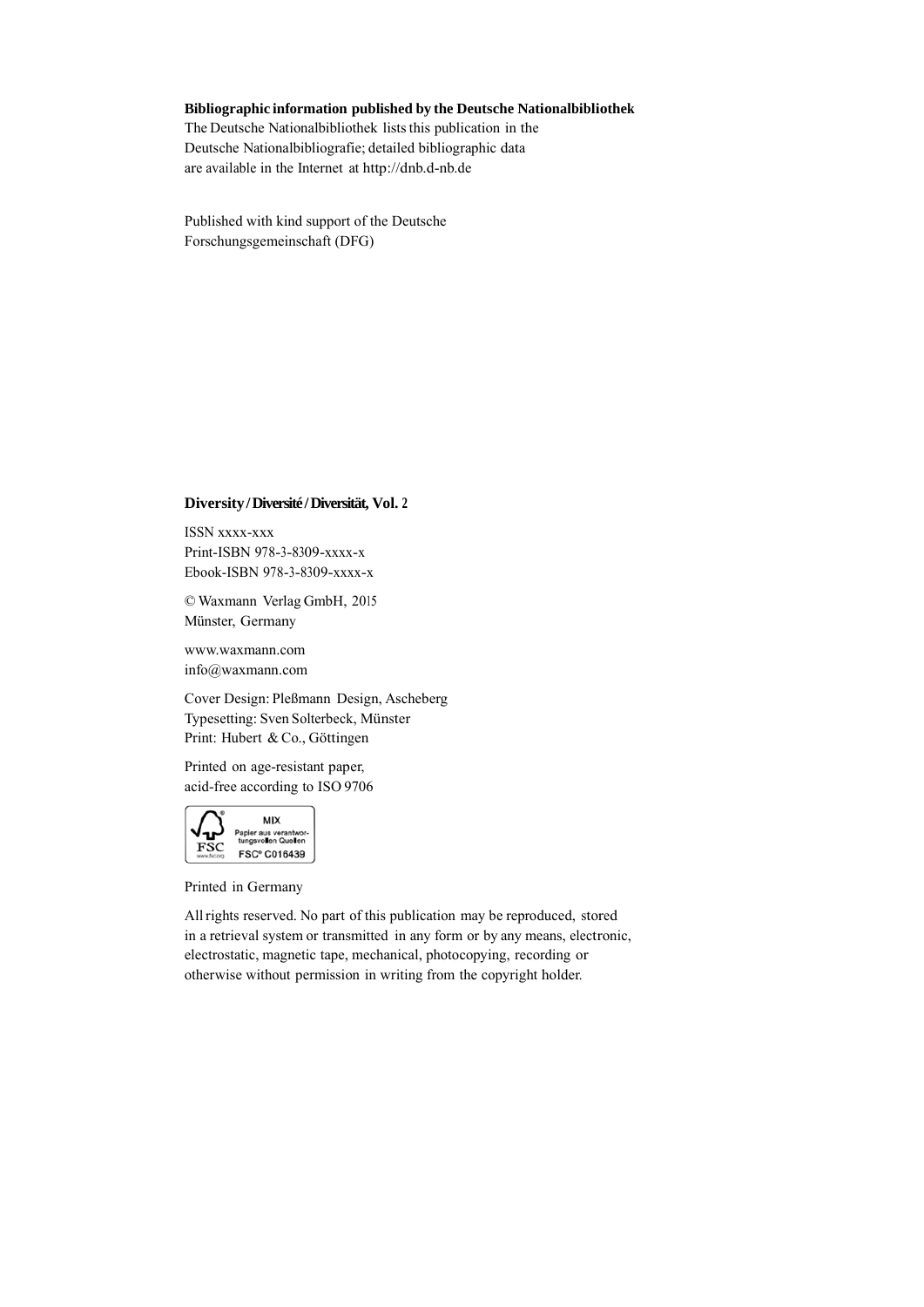#### **Bibliographic information published by the Deutsche Nationalbibliothek**

The Deutsche Nationalbibliothek lists this publication in the Deutsche Nationalbibliografie; detailed bibliographic data are available in the Internet at http://dnb.d-nb.de

Published with kind support of the Deutsche Forschungsgemeinschaft (DFG)

#### **Diversity / Diversité / Diversität, Vol. 2**

ISSN xxxx-xxx Print-ISBN 978-3-8309-xxxx-x Ebook-ISBN 978-3-8309-xxxx-x

© Waxmann Verlag GmbH, 2015 Münster, Germany

www.waxmann.com info@waxmann.com

Cover Design: Pleßmann Design, Ascheberg Typesetting: Sven Solterbeck, Münster Print: Hubert & Co., Göttingen

Printed on age-resistant paper, acid-free according to ISO 9706



Printed in Germany

All rights reserved. No part of this publication may be reproduced, stored in a retrieval system or transmitted in any form or by any means, electronic, electrostatic, magnetic tape, mechanical, photocopying, recording or otherwise without permission in writing from the copyright holder.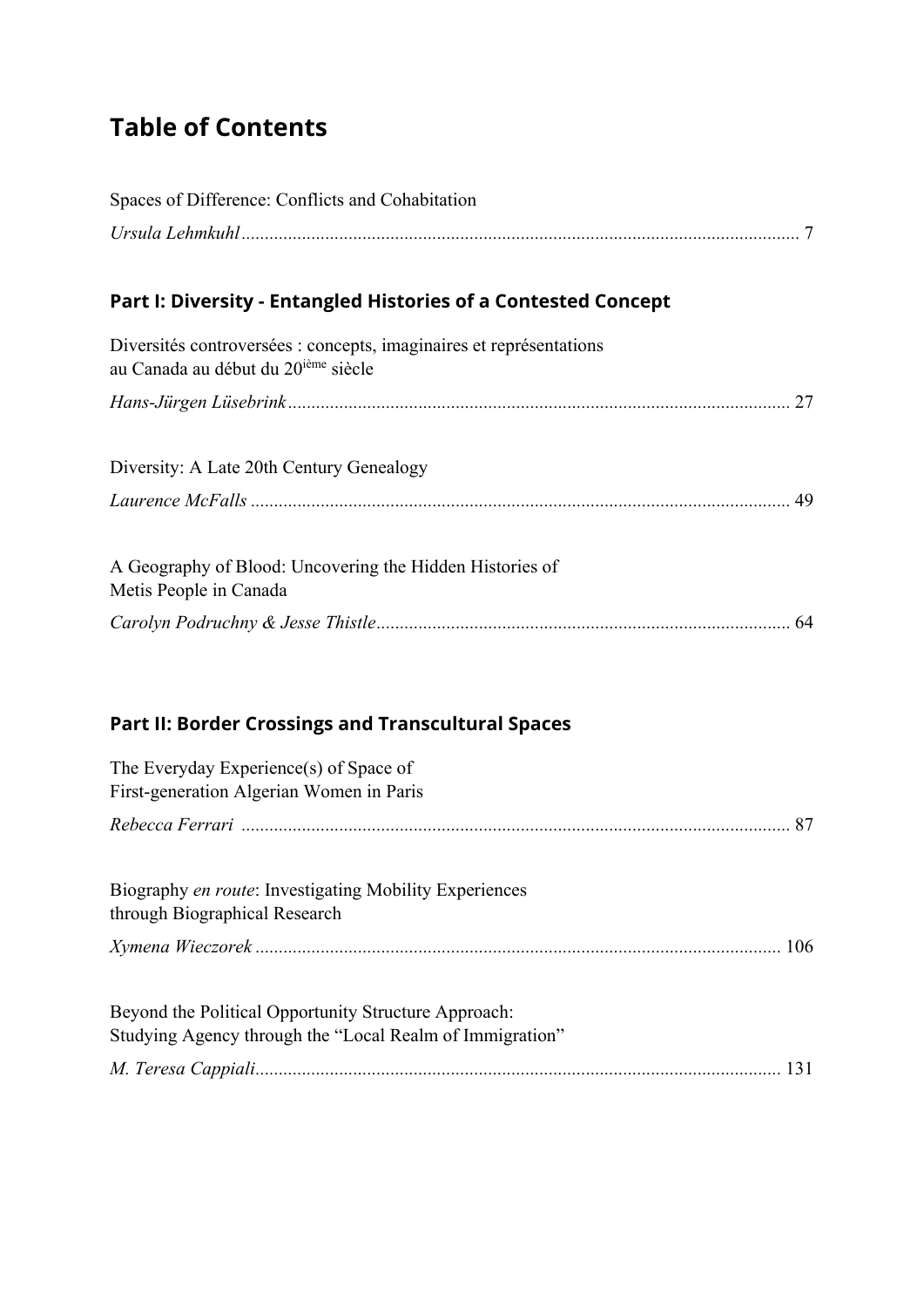## **Table of Contents**

| Spaces of Difference: Conflicts and Cohabitation                                                                       |  |
|------------------------------------------------------------------------------------------------------------------------|--|
|                                                                                                                        |  |
| Part I: Diversity - Entangled Histories of a Contested Concept                                                         |  |
| Diversités controversées : concepts, imaginaires et représentations<br>au Canada au début du 20 <sup>ième</sup> siècle |  |
|                                                                                                                        |  |
| Diversity: A Late 20th Century Genealogy                                                                               |  |
|                                                                                                                        |  |
| A Geography of Blood: Uncovering the Hidden Histories of<br>Metis People in Canada                                     |  |
|                                                                                                                        |  |
| Part II: Border Crossings and Transcultural Spaces                                                                     |  |
| The Everyday Experience(s) of Space of<br>First-generation Algerian Women in Paris                                     |  |
|                                                                                                                        |  |
| Biography en route: Investigating Mobility Experiences<br>through Biographical Research                                |  |
|                                                                                                                        |  |
| Beyond the Political Opportunity Structure Approach:<br>Studying Agency through the "Local Realm of Immigration"       |  |
|                                                                                                                        |  |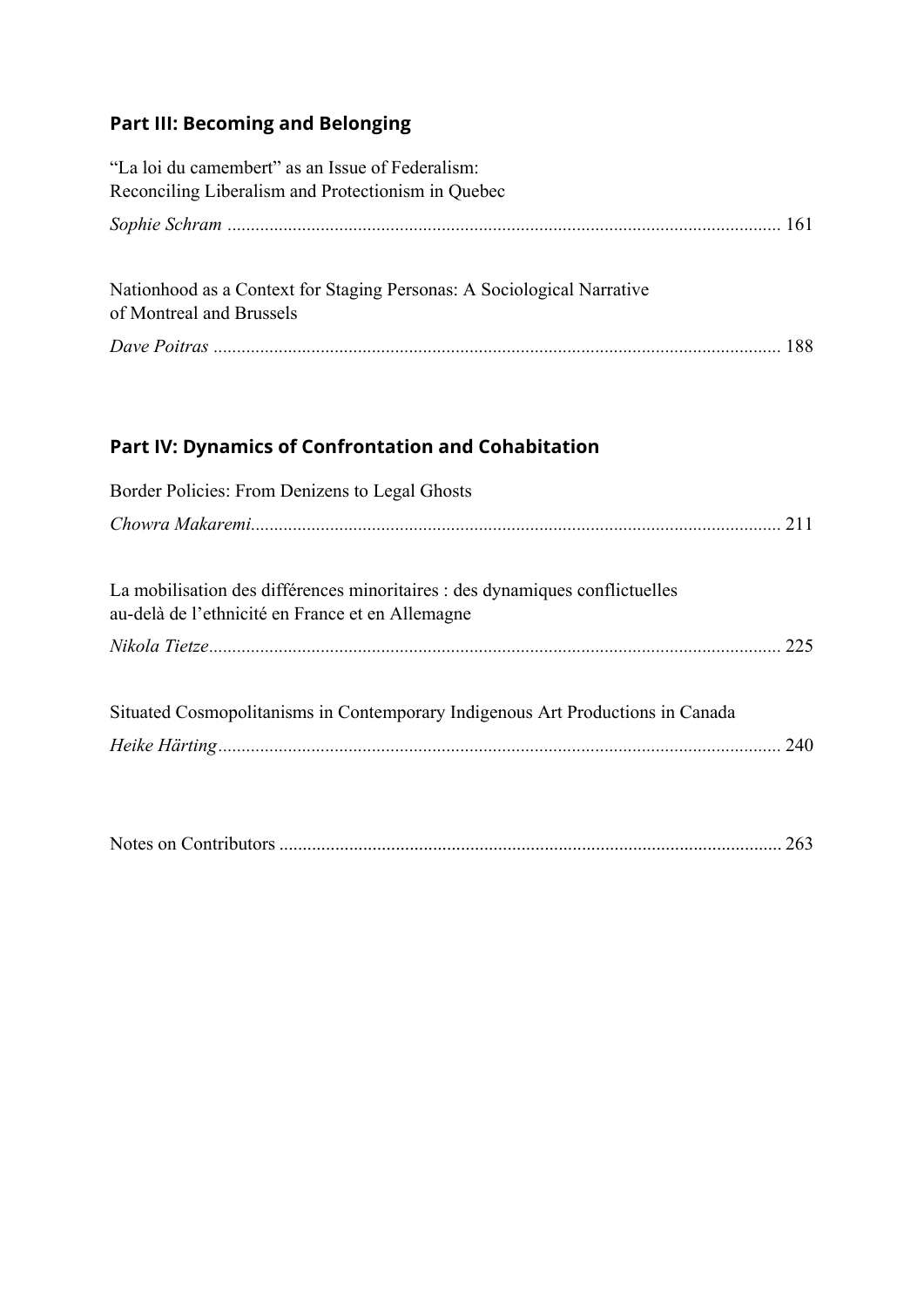## **Part III: Becoming and Belonging**

| "La loi du camembert" as an Issue of Federalism:<br>Reconciling Liberalism and Protectionism in Quebec |  |
|--------------------------------------------------------------------------------------------------------|--|
|                                                                                                        |  |
| Nationhood as a Context for Staging Personas: A Sociological Narrative<br>of Montreal and Brussels     |  |
|                                                                                                        |  |

## **Part IV: Dynamics of Confrontation and Cohabitation**

| Border Policies: From Denizens to Legal Ghosts                                                                                   |  |  |  |  |
|----------------------------------------------------------------------------------------------------------------------------------|--|--|--|--|
|                                                                                                                                  |  |  |  |  |
|                                                                                                                                  |  |  |  |  |
| La mobilisation des différences minoritaires : des dynamiques conflictuelles<br>au-delà de l'ethnicité en France et en Allemagne |  |  |  |  |
|                                                                                                                                  |  |  |  |  |
| Situated Cosmopolitanisms in Contemporary Indigenous Art Productions in Canada                                                   |  |  |  |  |
|                                                                                                                                  |  |  |  |  |
|                                                                                                                                  |  |  |  |  |
|                                                                                                                                  |  |  |  |  |

|--|--|--|--|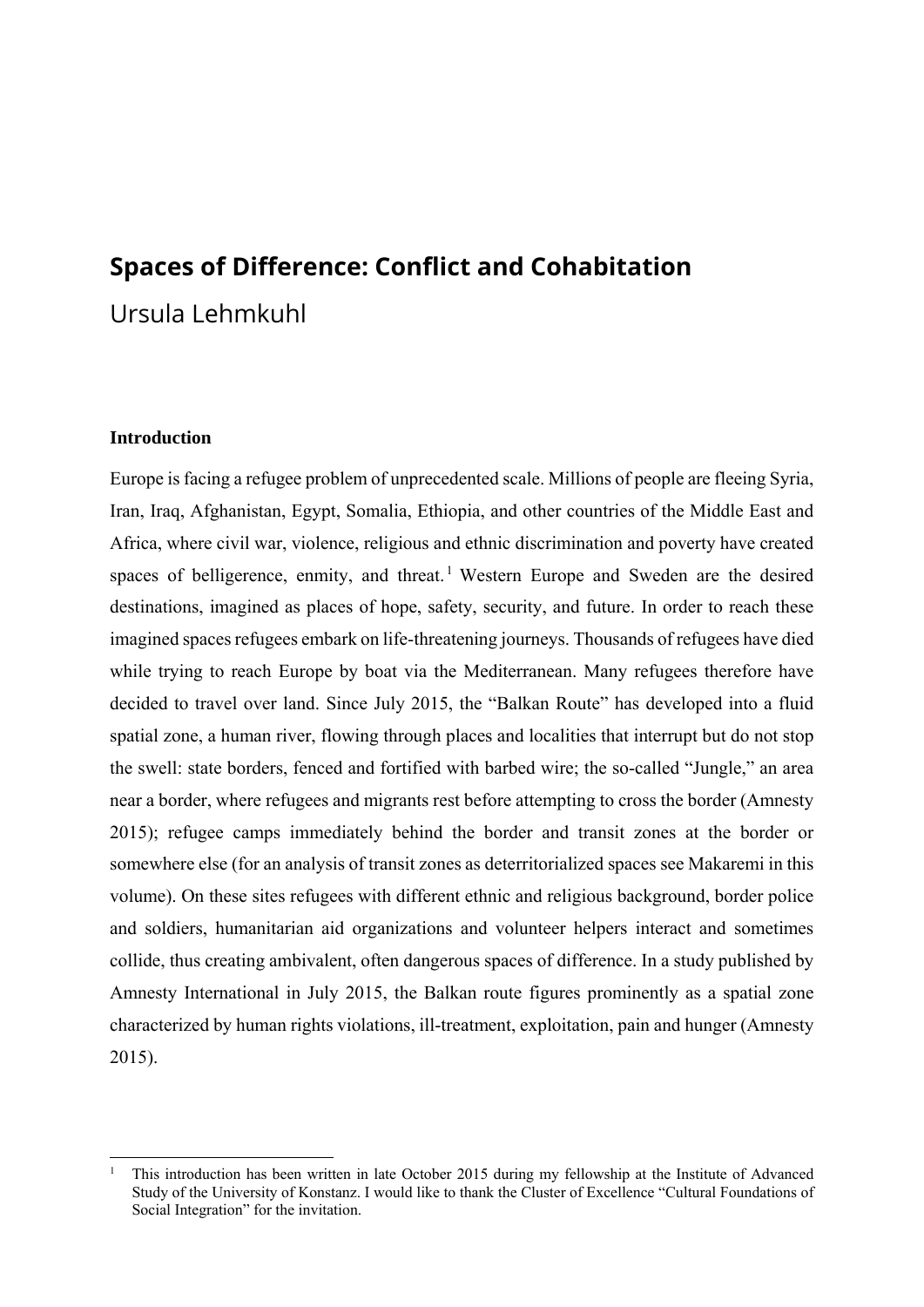# **Spaces of Difference: Conflict and Cohabitation**

Ursula Lehmkuhl

#### **Introduction**

Europe is facing a refugee problem of unprecedented scale. Millions of people are fleeing Syria, Iran, Iraq, Afghanistan, Egypt, Somalia, Ethiopia, and other countries of the Middle East and Africa, where civil war, violence, religious and ethnic discrimination and poverty have created spaces of belligerence, enmity, and threat.<sup>1</sup> Western Europe and Sweden are the desired destinations, imagined as places of hope, safety, security, and future. In order to reach these imagined spaces refugees embark on life-threatening journeys. Thousands of refugees have died while trying to reach Europe by boat via the Mediterranean. Many refugees therefore have decided to travel over land. Since July 2015, the "Balkan Route" has developed into a fluid spatial zone, a human river, flowing through places and localities that interrupt but do not stop the swell: state borders, fenced and fortified with barbed wire; the so-called "Jungle," an area near a border, where refugees and migrants rest before attempting to cross the border (Amnesty 2015); refugee camps immediately behind the border and transit zones at the border or somewhere else (for an analysis of transit zones as deterritorialized spaces see Makaremi in this volume). On these sites refugees with different ethnic and religious background, border police and soldiers, humanitarian aid organizations and volunteer helpers interact and sometimes collide, thus creating ambivalent, often dangerous spaces of difference. In a study published by Amnesty International in July 2015, the Balkan route figures prominently as a spatial zone characterized by human rights violations, ill-treatment, exploitation, pain and hunger (Amnesty 2015).

<sup>1</sup> This introduction has been written in late October 2015 during my fellowship at the Institute of Advanced Study of the University of Konstanz. I would like to thank the Cluster of Excellence "Cultural Foundations of Social Integration" for the invitation.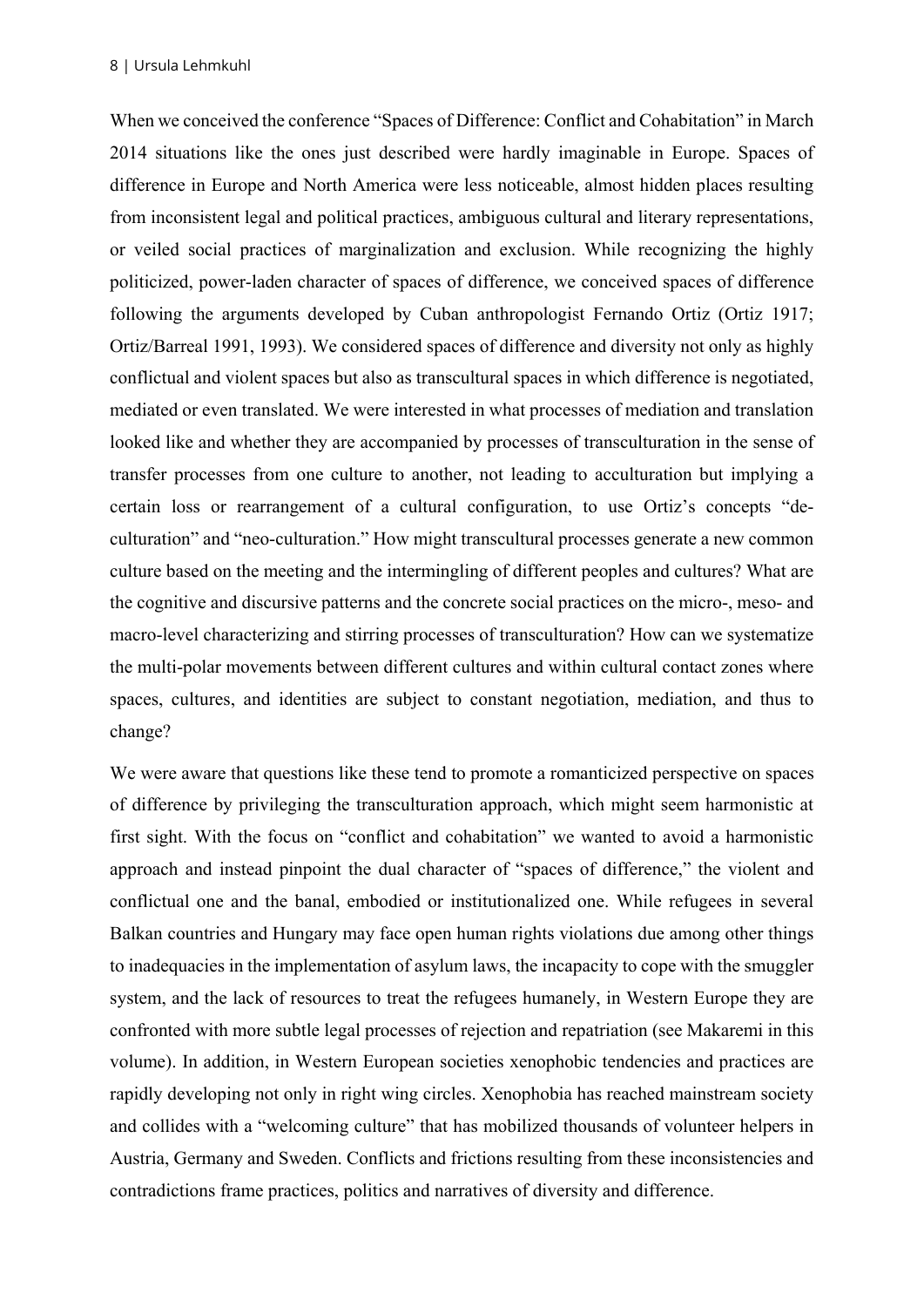When we conceived the conference "Spaces of Difference: Conflict and Cohabitation" in March 2014 situations like the ones just described were hardly imaginable in Europe. Spaces of difference in Europe and North America were less noticeable, almost hidden places resulting from inconsistent legal and political practices, ambiguous cultural and literary representations, or veiled social practices of marginalization and exclusion. While recognizing the highly politicized, power-laden character of spaces of difference, we conceived spaces of difference following the arguments developed by Cuban anthropologist Fernando Ortiz (Ortiz 1917; Ortiz/Barreal 1991, 1993). We considered spaces of difference and diversity not only as highly conflictual and violent spaces but also as transcultural spaces in which difference is negotiated, mediated or even translated. We were interested in what processes of mediation and translation looked like and whether they are accompanied by processes of transculturation in the sense of transfer processes from one culture to another, not leading to acculturation but implying a certain loss or rearrangement of a cultural configuration, to use Ortiz's concepts "deculturation" and "neo-culturation." How might transcultural processes generate a new common culture based on the meeting and the intermingling of different peoples and cultures? What are the cognitive and discursive patterns and the concrete social practices on the micro-, meso- and macro-level characterizing and stirring processes of transculturation? How can we systematize the multi-polar movements between different cultures and within cultural contact zones where spaces, cultures, and identities are subject to constant negotiation, mediation, and thus to change?

We were aware that questions like these tend to promote a romanticized perspective on spaces of difference by privileging the transculturation approach, which might seem harmonistic at first sight. With the focus on "conflict and cohabitation" we wanted to avoid a harmonistic approach and instead pinpoint the dual character of "spaces of difference," the violent and conflictual one and the banal, embodied or institutionalized one. While refugees in several Balkan countries and Hungary may face open human rights violations due among other things to inadequacies in the implementation of asylum laws, the incapacity to cope with the smuggler system, and the lack of resources to treat the refugees humanely, in Western Europe they are confronted with more subtle legal processes of rejection and repatriation (see Makaremi in this volume). In addition, in Western European societies xenophobic tendencies and practices are rapidly developing not only in right wing circles. Xenophobia has reached mainstream society and collides with a "welcoming culture" that has mobilized thousands of volunteer helpers in Austria, Germany and Sweden. Conflicts and frictions resulting from these inconsistencies and contradictions frame practices, politics and narratives of diversity and difference.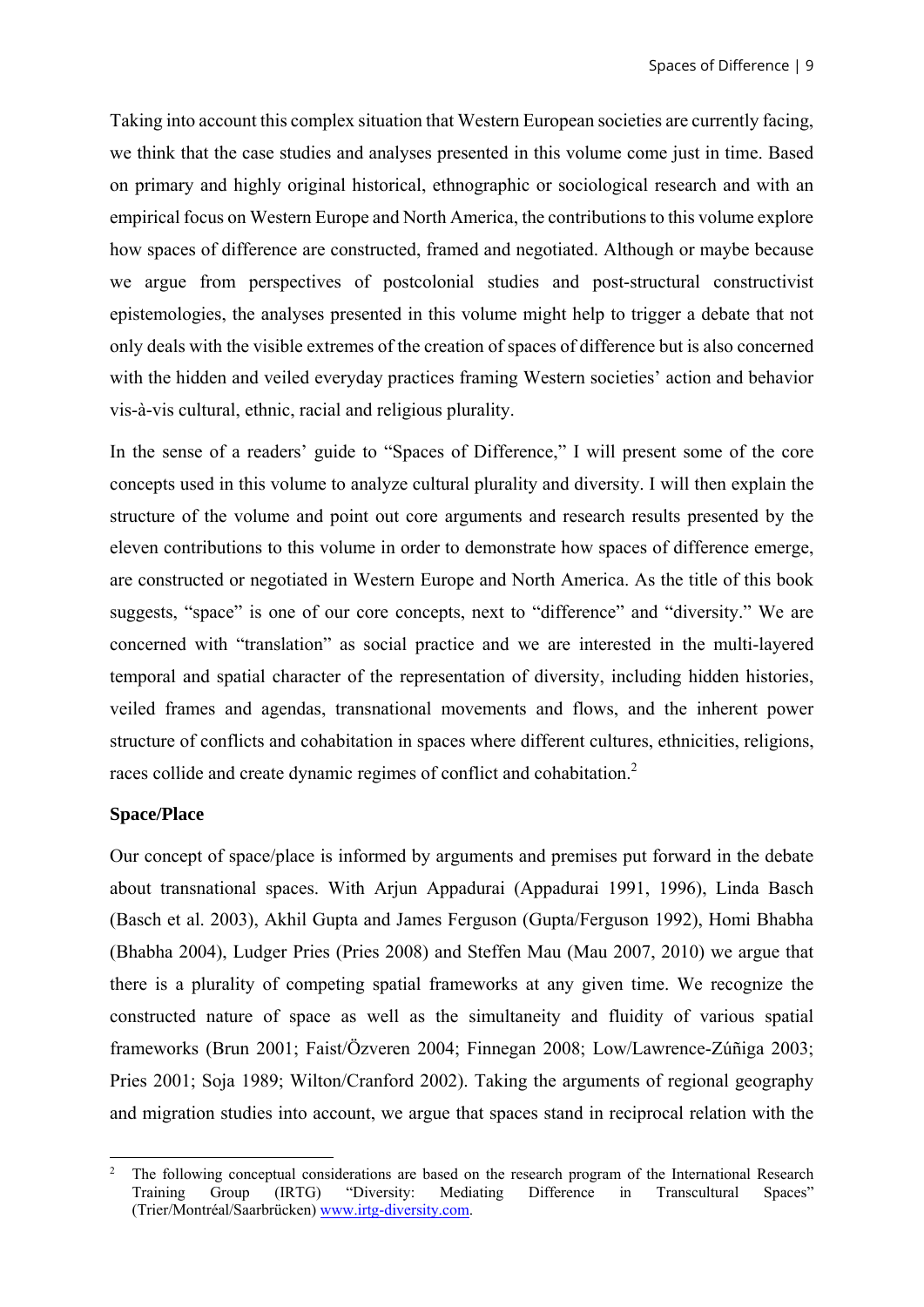Taking into account this complex situation that Western European societies are currently facing, we think that the case studies and analyses presented in this volume come just in time. Based on primary and highly original historical, ethnographic or sociological research and with an empirical focus on Western Europe and North America, the contributions to this volume explore how spaces of difference are constructed, framed and negotiated. Although or maybe because we argue from perspectives of postcolonial studies and post-structural constructivist epistemologies, the analyses presented in this volume might help to trigger a debate that not only deals with the visible extremes of the creation of spaces of difference but is also concerned with the hidden and veiled everyday practices framing Western societies' action and behavior vis-à-vis cultural, ethnic, racial and religious plurality.

In the sense of a readers' guide to "Spaces of Difference," I will present some of the core concepts used in this volume to analyze cultural plurality and diversity. I will then explain the structure of the volume and point out core arguments and research results presented by the eleven contributions to this volume in order to demonstrate how spaces of difference emerge, are constructed or negotiated in Western Europe and North America. As the title of this book suggests, "space" is one of our core concepts, next to "difference" and "diversity." We are concerned with "translation" as social practice and we are interested in the multi-layered temporal and spatial character of the representation of diversity, including hidden histories, veiled frames and agendas, transnational movements and flows, and the inherent power structure of conflicts and cohabitation in spaces where different cultures, ethnicities, religions, races collide and create dynamic regimes of conflict and cohabitation.<sup>2</sup>

#### **Space/Place**

Our concept of space/place is informed by arguments and premises put forward in the debate about transnational spaces. With Arjun Appadurai (Appadurai 1991, 1996), Linda Basch (Basch et al. 2003), Akhil Gupta and James Ferguson (Gupta/Ferguson 1992), Homi Bhabha (Bhabha 2004), Ludger Pries (Pries 2008) and Steffen Mau (Mau 2007, 2010) we argue that there is a plurality of competing spatial frameworks at any given time. We recognize the constructed nature of space as well as the simultaneity and fluidity of various spatial frameworks (Brun 2001; Faist/Özveren 2004; Finnegan 2008; Low/Lawrence-Zúñiga 2003; Pries 2001; Soja 1989; Wilton/Cranford 2002). Taking the arguments of regional geography and migration studies into account, we argue that spaces stand in reciprocal relation with the

 2 The following conceptual considerations are based on the research program of the International Research Training Group (IRTG) "Diversity: Mediating Difference in Transcultural Spaces" (Trier/Montréal/Saarbrücken) www.irtg-diversity.com.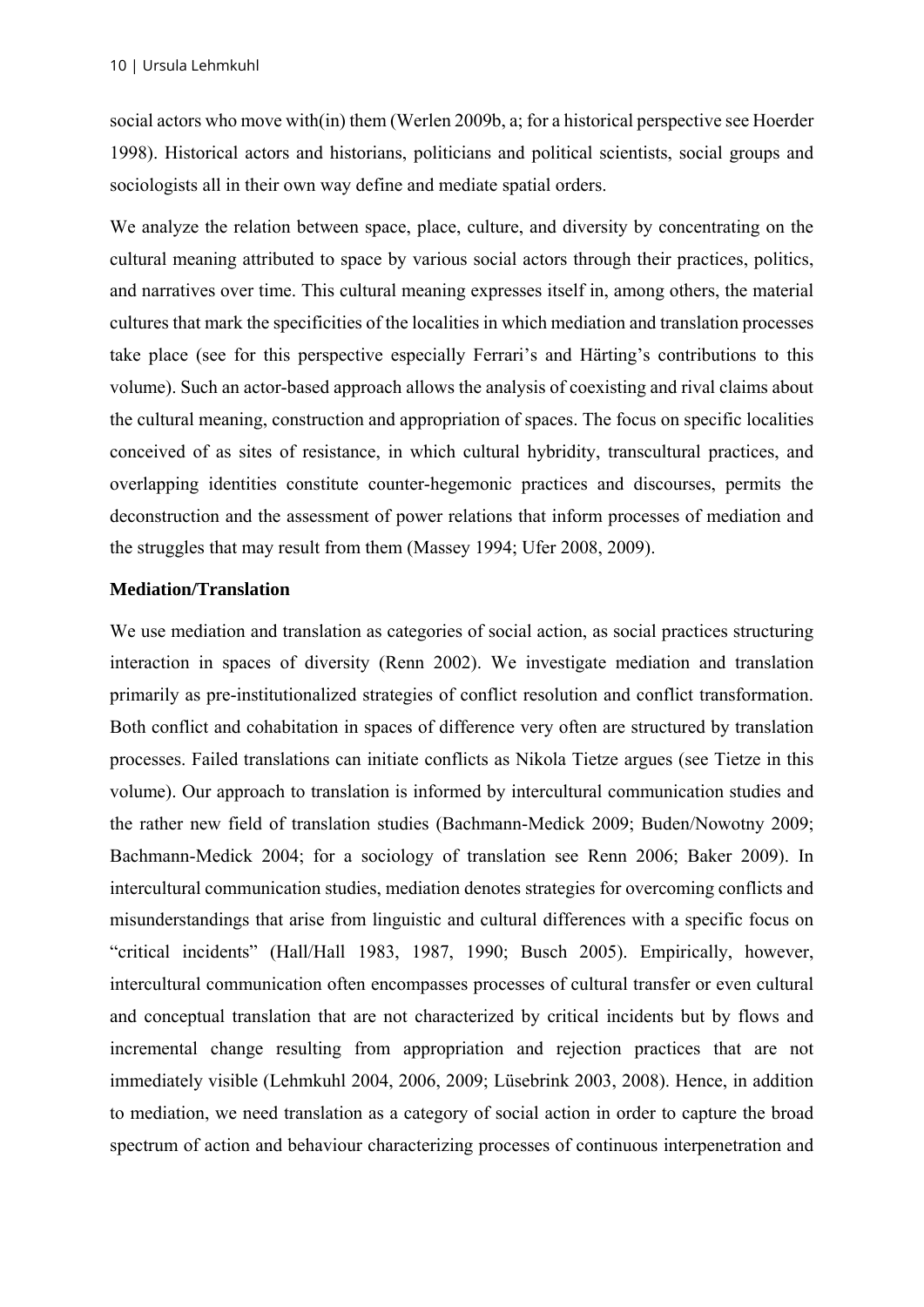social actors who move with(in) them (Werlen 2009b, a; for a historical perspective see Hoerder 1998). Historical actors and historians, politicians and political scientists, social groups and sociologists all in their own way define and mediate spatial orders.

We analyze the relation between space, place, culture, and diversity by concentrating on the cultural meaning attributed to space by various social actors through their practices, politics, and narratives over time. This cultural meaning expresses itself in, among others, the material cultures that mark the specificities of the localities in which mediation and translation processes take place (see for this perspective especially Ferrari's and Härting's contributions to this volume). Such an actor-based approach allows the analysis of coexisting and rival claims about the cultural meaning, construction and appropriation of spaces. The focus on specific localities conceived of as sites of resistance, in which cultural hybridity, transcultural practices, and overlapping identities constitute counter-hegemonic practices and discourses, permits the deconstruction and the assessment of power relations that inform processes of mediation and the struggles that may result from them (Massey 1994; Ufer 2008, 2009).

#### **Mediation/Translation**

We use mediation and translation as categories of social action, as social practices structuring interaction in spaces of diversity (Renn 2002). We investigate mediation and translation primarily as pre-institutionalized strategies of conflict resolution and conflict transformation. Both conflict and cohabitation in spaces of difference very often are structured by translation processes. Failed translations can initiate conflicts as Nikola Tietze argues (see Tietze in this volume). Our approach to translation is informed by intercultural communication studies and the rather new field of translation studies (Bachmann-Medick 2009; Buden/Nowotny 2009; Bachmann-Medick 2004; for a sociology of translation see Renn 2006; Baker 2009). In intercultural communication studies, mediation denotes strategies for overcoming conflicts and misunderstandings that arise from linguistic and cultural differences with a specific focus on "critical incidents" (Hall/Hall 1983, 1987, 1990; Busch 2005). Empirically, however, intercultural communication often encompasses processes of cultural transfer or even cultural and conceptual translation that are not characterized by critical incidents but by flows and incremental change resulting from appropriation and rejection practices that are not immediately visible (Lehmkuhl 2004, 2006, 2009; Lüsebrink 2003, 2008). Hence, in addition to mediation, we need translation as a category of social action in order to capture the broad spectrum of action and behaviour characterizing processes of continuous interpenetration and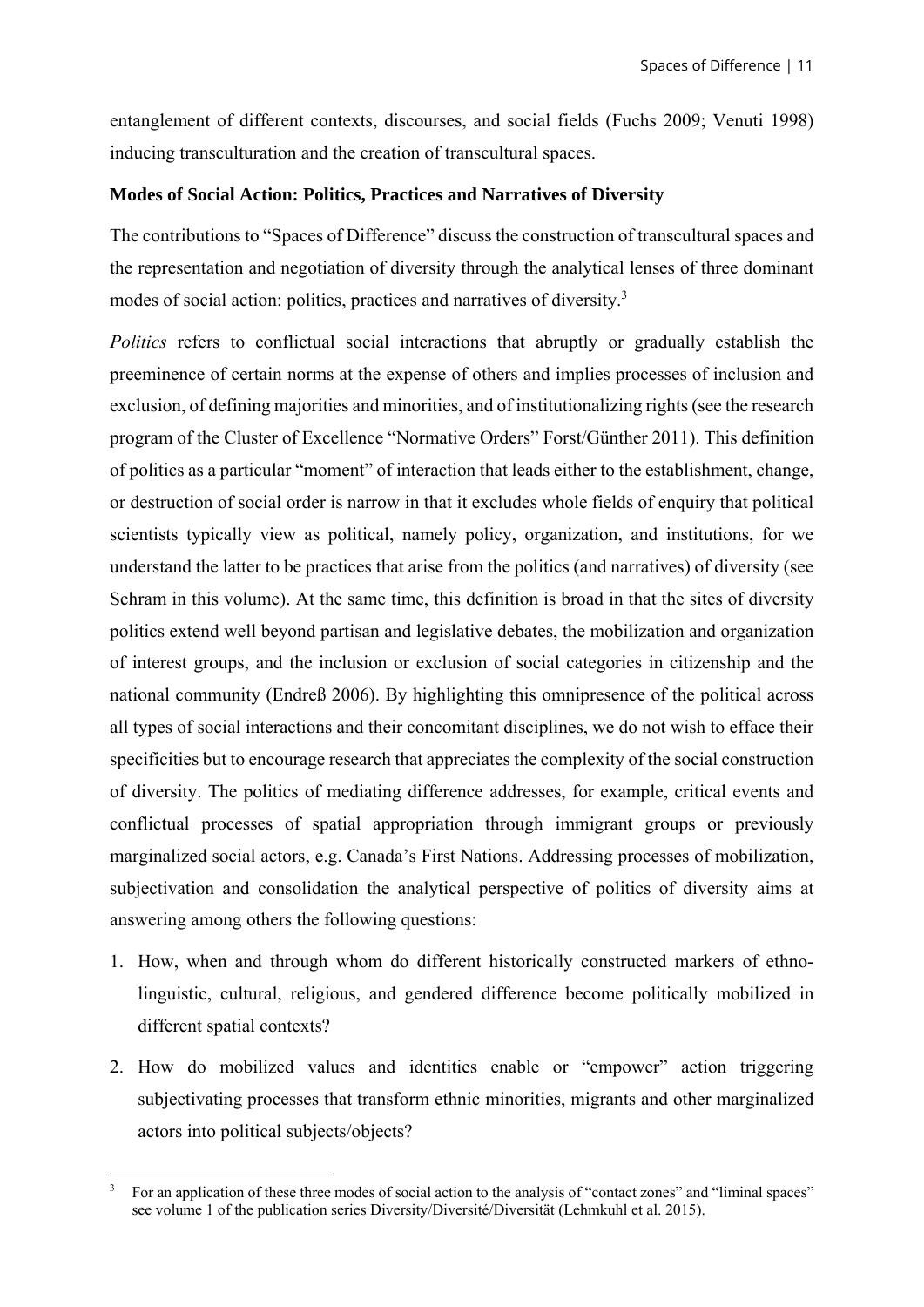entanglement of different contexts, discourses, and social fields (Fuchs 2009; Venuti 1998) inducing transculturation and the creation of transcultural spaces.

#### **Modes of Social Action: Politics, Practices and Narratives of Diversity**

The contributions to "Spaces of Difference" discuss the construction of transcultural spaces and the representation and negotiation of diversity through the analytical lenses of three dominant modes of social action: politics, practices and narratives of diversity.<sup>3</sup>

*Politics* refers to conflictual social interactions that abruptly or gradually establish the preeminence of certain norms at the expense of others and implies processes of inclusion and exclusion, of defining majorities and minorities, and of institutionalizing rights (see the research program of the Cluster of Excellence "Normative Orders" Forst/Günther 2011). This definition of politics as a particular "moment" of interaction that leads either to the establishment, change, or destruction of social order is narrow in that it excludes whole fields of enquiry that political scientists typically view as political, namely policy, organization, and institutions, for we understand the latter to be practices that arise from the politics (and narratives) of diversity (see Schram in this volume). At the same time, this definition is broad in that the sites of diversity politics extend well beyond partisan and legislative debates, the mobilization and organization of interest groups, and the inclusion or exclusion of social categories in citizenship and the national community (Endreß 2006). By highlighting this omnipresence of the political across all types of social interactions and their concomitant disciplines, we do not wish to efface their specificities but to encourage research that appreciates the complexity of the social construction of diversity. The politics of mediating difference addresses, for example, critical events and conflictual processes of spatial appropriation through immigrant groups or previously marginalized social actors, e.g. Canada's First Nations. Addressing processes of mobilization, subjectivation and consolidation the analytical perspective of politics of diversity aims at answering among others the following questions:

- 1. How, when and through whom do different historically constructed markers of ethnolinguistic, cultural, religious, and gendered difference become politically mobilized in different spatial contexts?
- 2. How do mobilized values and identities enable or "empower" action triggering subjectivating processes that transform ethnic minorities, migrants and other marginalized actors into political subjects/objects?

 3 For an application of these three modes of social action to the analysis of "contact zones" and "liminal spaces" see volume 1 of the publication series Diversity/Diversité/Diversität (Lehmkuhl et al. 2015).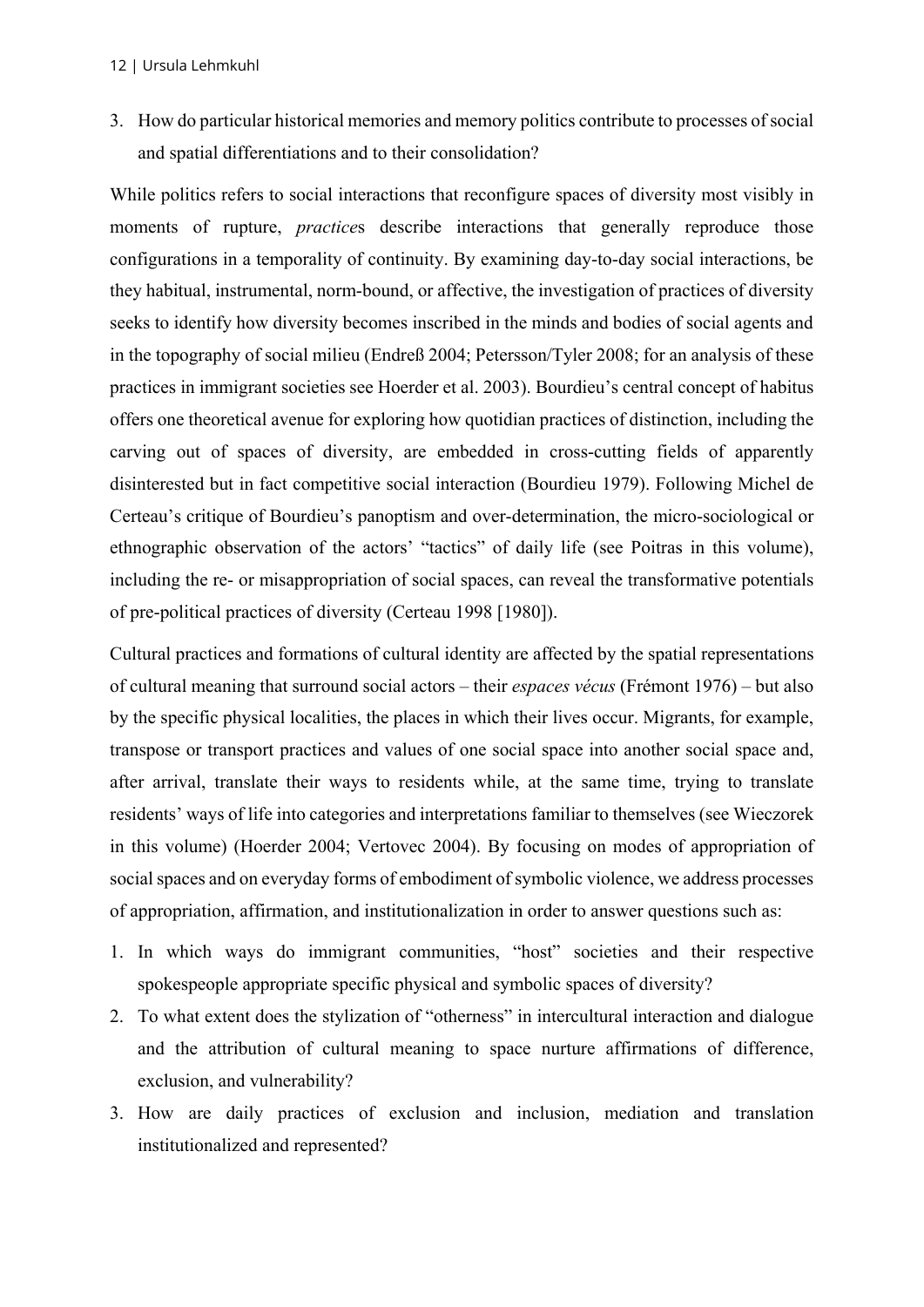3. How do particular historical memories and memory politics contribute to processes of social and spatial differentiations and to their consolidation?

While politics refers to social interactions that reconfigure spaces of diversity most visibly in moments of rupture, *practice*s describe interactions that generally reproduce those configurations in a temporality of continuity. By examining day-to-day social interactions, be they habitual, instrumental, norm-bound, or affective, the investigation of practices of diversity seeks to identify how diversity becomes inscribed in the minds and bodies of social agents and in the topography of social milieu (Endreß 2004; Petersson/Tyler 2008; for an analysis of these practices in immigrant societies see Hoerder et al. 2003). Bourdieu's central concept of habitus offers one theoretical avenue for exploring how quotidian practices of distinction, including the carving out of spaces of diversity, are embedded in cross-cutting fields of apparently disinterested but in fact competitive social interaction (Bourdieu 1979). Following Michel de Certeau's critique of Bourdieu's panoptism and over-determination, the micro-sociological or ethnographic observation of the actors' "tactics" of daily life (see Poitras in this volume), including the re- or misappropriation of social spaces, can reveal the transformative potentials of pre-political practices of diversity (Certeau 1998 [1980]).

Cultural practices and formations of cultural identity are affected by the spatial representations of cultural meaning that surround social actors – their *espaces vécus* (Frémont 1976) – but also by the specific physical localities, the places in which their lives occur. Migrants, for example, transpose or transport practices and values of one social space into another social space and, after arrival, translate their ways to residents while, at the same time, trying to translate residents' ways of life into categories and interpretations familiar to themselves (see Wieczorek in this volume) (Hoerder 2004; Vertovec 2004). By focusing on modes of appropriation of social spaces and on everyday forms of embodiment of symbolic violence, we address processes of appropriation, affirmation, and institutionalization in order to answer questions such as:

- 1. In which ways do immigrant communities, "host" societies and their respective spokespeople appropriate specific physical and symbolic spaces of diversity?
- 2. To what extent does the stylization of "otherness" in intercultural interaction and dialogue and the attribution of cultural meaning to space nurture affirmations of difference, exclusion, and vulnerability?
- 3. How are daily practices of exclusion and inclusion, mediation and translation institutionalized and represented?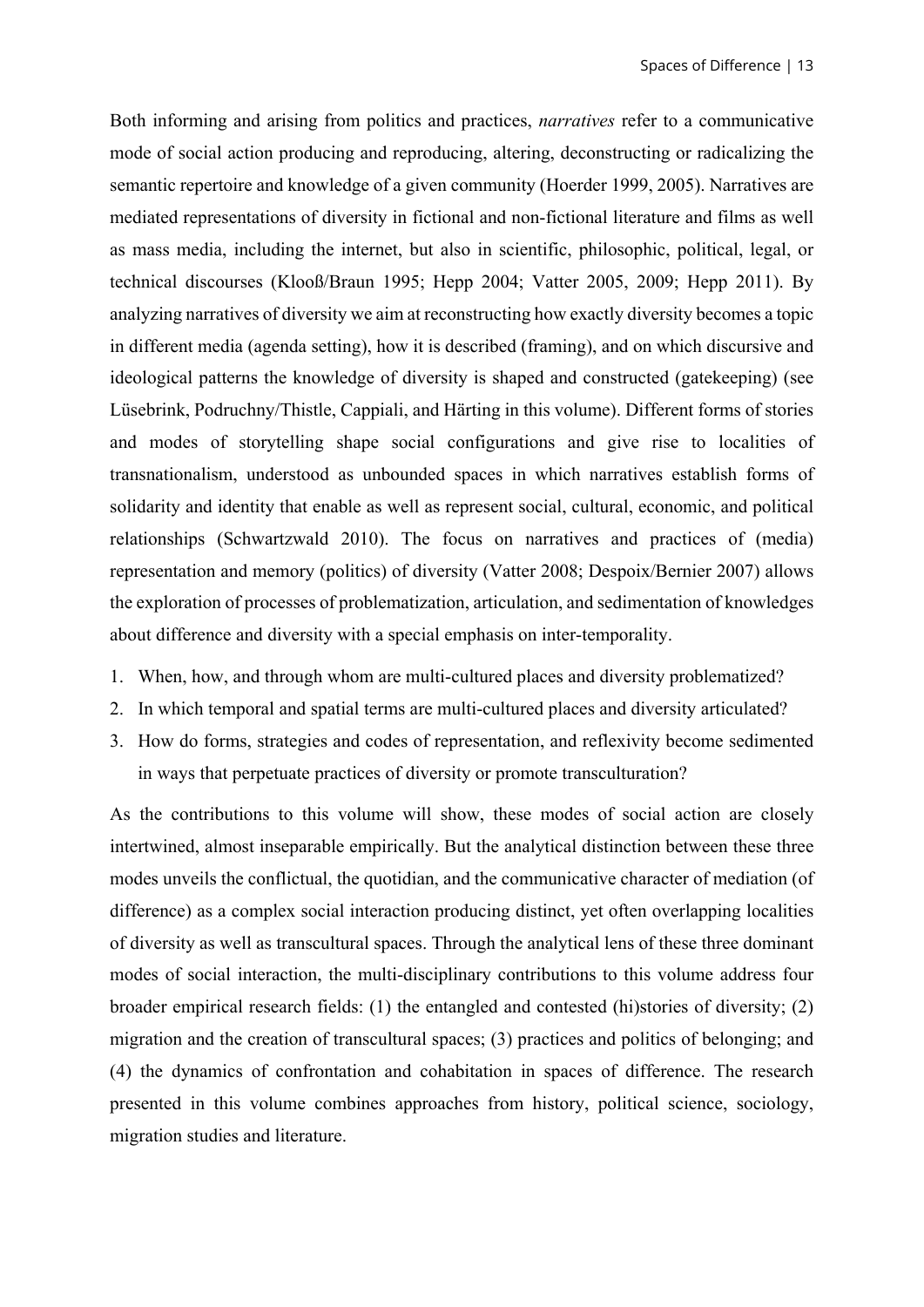Both informing and arising from politics and practices, *narratives* refer to a communicative mode of social action producing and reproducing, altering, deconstructing or radicalizing the semantic repertoire and knowledge of a given community (Hoerder 1999, 2005). Narratives are mediated representations of diversity in fictional and non-fictional literature and films as well as mass media, including the internet, but also in scientific, philosophic, political, legal, or technical discourses (Klooß/Braun 1995; Hepp 2004; Vatter 2005, 2009; Hepp 2011). By analyzing narratives of diversity we aim at reconstructing how exactly diversity becomes a topic in different media (agenda setting), how it is described (framing), and on which discursive and ideological patterns the knowledge of diversity is shaped and constructed (gatekeeping) (see Lüsebrink, Podruchny/Thistle, Cappiali, and Härting in this volume). Different forms of stories and modes of storytelling shape social configurations and give rise to localities of transnationalism, understood as unbounded spaces in which narratives establish forms of solidarity and identity that enable as well as represent social, cultural, economic, and political relationships (Schwartzwald 2010). The focus on narratives and practices of (media) representation and memory (politics) of diversity (Vatter 2008; Despoix/Bernier 2007) allows the exploration of processes of problematization, articulation, and sedimentation of knowledges about difference and diversity with a special emphasis on inter-temporality.

- 1. When, how, and through whom are multi-cultured places and diversity problematized?
- 2. In which temporal and spatial terms are multi-cultured places and diversity articulated?
- 3. How do forms, strategies and codes of representation, and reflexivity become sedimented in ways that perpetuate practices of diversity or promote transculturation?

As the contributions to this volume will show, these modes of social action are closely intertwined, almost inseparable empirically. But the analytical distinction between these three modes unveils the conflictual, the quotidian, and the communicative character of mediation (of difference) as a complex social interaction producing distinct, yet often overlapping localities of diversity as well as transcultural spaces. Through the analytical lens of these three dominant modes of social interaction, the multi-disciplinary contributions to this volume address four broader empirical research fields: (1) the entangled and contested (hi)stories of diversity; (2) migration and the creation of transcultural spaces; (3) practices and politics of belonging; and (4) the dynamics of confrontation and cohabitation in spaces of difference. The research presented in this volume combines approaches from history, political science, sociology, migration studies and literature.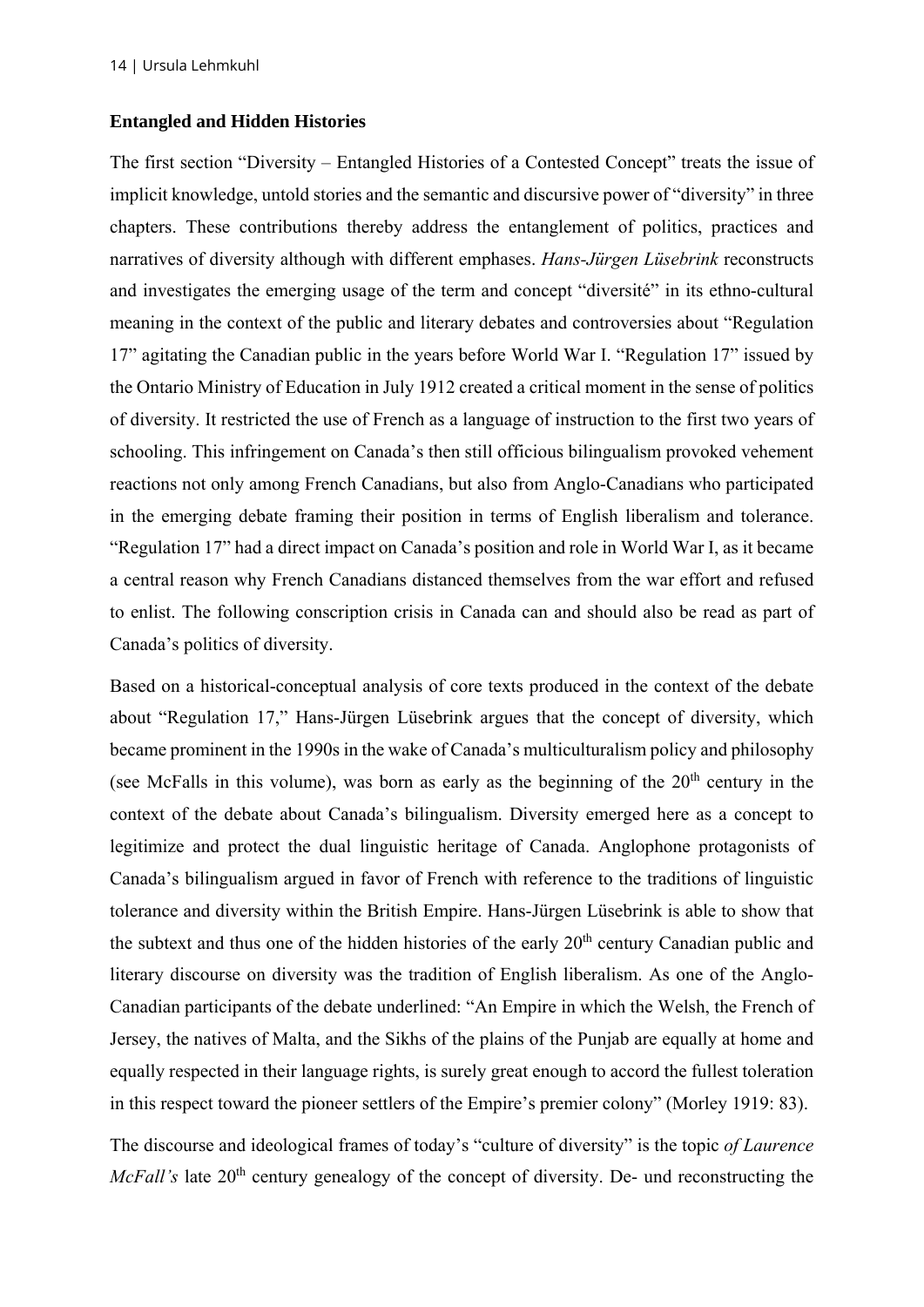#### **Entangled and Hidden Histories**

The first section "Diversity – Entangled Histories of a Contested Concept" treats the issue of implicit knowledge, untold stories and the semantic and discursive power of "diversity" in three chapters. These contributions thereby address the entanglement of politics, practices and narratives of diversity although with different emphases. *Hans-Jürgen Lüsebrink* reconstructs and investigates the emerging usage of the term and concept "diversité" in its ethno-cultural meaning in the context of the public and literary debates and controversies about "Regulation 17" agitating the Canadian public in the years before World War I. "Regulation 17" issued by the Ontario Ministry of Education in July 1912 created a critical moment in the sense of politics of diversity. It restricted the use of French as a language of instruction to the first two years of schooling. This infringement on Canada's then still officious bilingualism provoked vehement reactions not only among French Canadians, but also from Anglo-Canadians who participated in the emerging debate framing their position in terms of English liberalism and tolerance. "Regulation 17" had a direct impact on Canada's position and role in World War I, as it became a central reason why French Canadians distanced themselves from the war effort and refused to enlist. The following conscription crisis in Canada can and should also be read as part of Canada's politics of diversity.

Based on a historical-conceptual analysis of core texts produced in the context of the debate about "Regulation 17," Hans-Jürgen Lüsebrink argues that the concept of diversity, which became prominent in the 1990s in the wake of Canada's multiculturalism policy and philosophy (see McFalls in this volume), was born as early as the beginning of the  $20<sup>th</sup>$  century in the context of the debate about Canada's bilingualism. Diversity emerged here as a concept to legitimize and protect the dual linguistic heritage of Canada. Anglophone protagonists of Canada's bilingualism argued in favor of French with reference to the traditions of linguistic tolerance and diversity within the British Empire. Hans-Jürgen Lüsebrink is able to show that the subtext and thus one of the hidden histories of the early  $20<sup>th</sup>$  century Canadian public and literary discourse on diversity was the tradition of English liberalism. As one of the Anglo-Canadian participants of the debate underlined: "An Empire in which the Welsh, the French of Jersey, the natives of Malta, and the Sikhs of the plains of the Punjab are equally at home and equally respected in their language rights, is surely great enough to accord the fullest toleration in this respect toward the pioneer settlers of the Empire's premier colony" (Morley 1919: 83).

The discourse and ideological frames of today's "culture of diversity" is the topic *of Laurence McFall's* late 20<sup>th</sup> century genealogy of the concept of diversity. De- und reconstructing the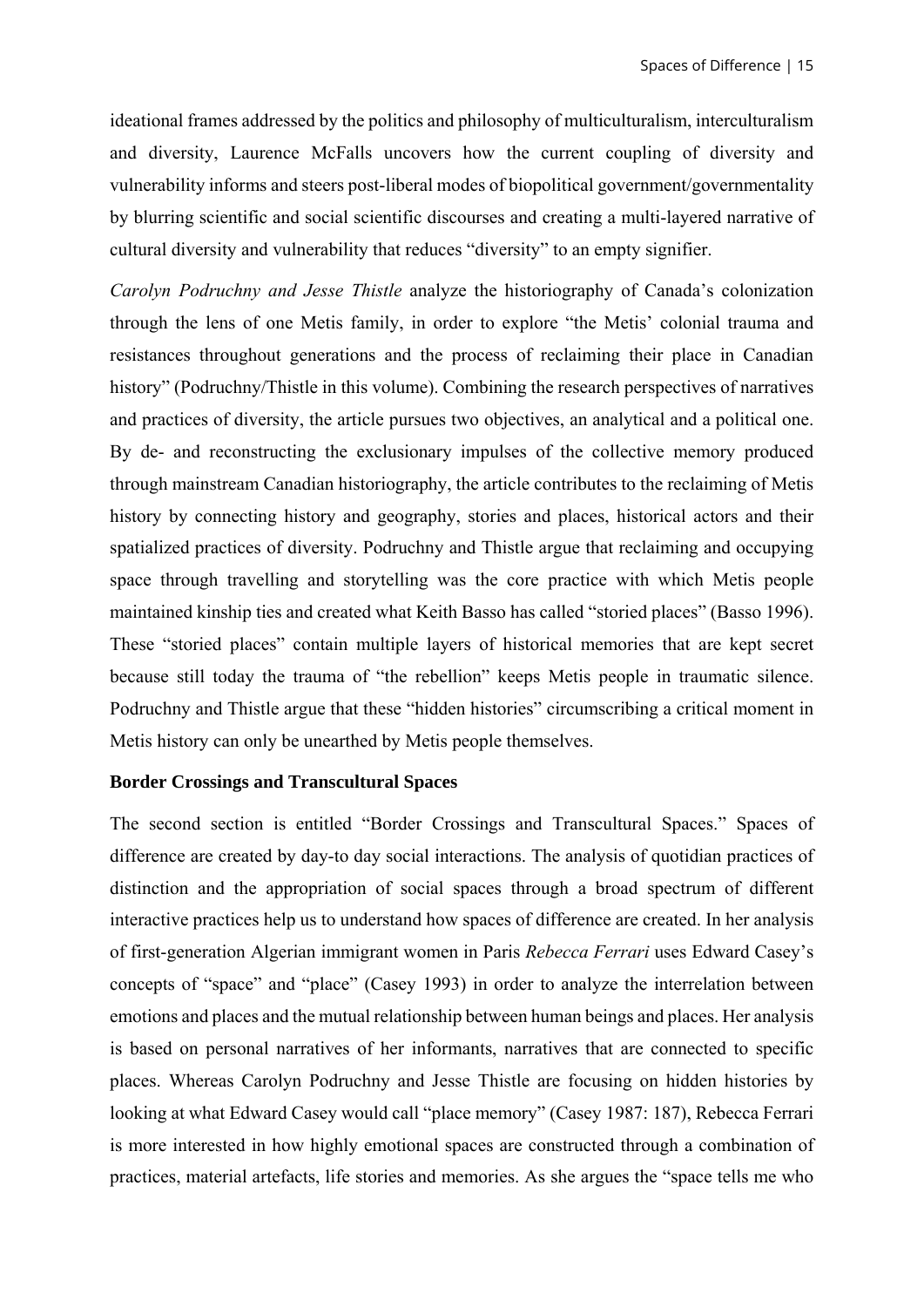ideational frames addressed by the politics and philosophy of multiculturalism, interculturalism and diversity, Laurence McFalls uncovers how the current coupling of diversity and vulnerability informs and steers post-liberal modes of biopolitical government/governmentality by blurring scientific and social scientific discourses and creating a multi-layered narrative of cultural diversity and vulnerability that reduces "diversity" to an empty signifier.

*Carolyn Podruchny and Jesse Thistle* analyze the historiography of Canada's colonization through the lens of one Metis family, in order to explore "the Metis' colonial trauma and resistances throughout generations and the process of reclaiming their place in Canadian history" (Podruchny/Thistle in this volume). Combining the research perspectives of narratives and practices of diversity, the article pursues two objectives, an analytical and a political one. By de- and reconstructing the exclusionary impulses of the collective memory produced through mainstream Canadian historiography, the article contributes to the reclaiming of Metis history by connecting history and geography, stories and places, historical actors and their spatialized practices of diversity. Podruchny and Thistle argue that reclaiming and occupying space through travelling and storytelling was the core practice with which Metis people maintained kinship ties and created what Keith Basso has called "storied places" (Basso 1996). These "storied places" contain multiple layers of historical memories that are kept secret because still today the trauma of "the rebellion" keeps Metis people in traumatic silence. Podruchny and Thistle argue that these "hidden histories" circumscribing a critical moment in Metis history can only be unearthed by Metis people themselves.

#### **Border Crossings and Transcultural Spaces**

The second section is entitled "Border Crossings and Transcultural Spaces." Spaces of difference are created by day-to day social interactions. The analysis of quotidian practices of distinction and the appropriation of social spaces through a broad spectrum of different interactive practices help us to understand how spaces of difference are created. In her analysis of first-generation Algerian immigrant women in Paris *Rebecca Ferrari* uses Edward Casey's concepts of "space" and "place" (Casey 1993) in order to analyze the interrelation between emotions and places and the mutual relationship between human beings and places. Her analysis is based on personal narratives of her informants, narratives that are connected to specific places. Whereas Carolyn Podruchny and Jesse Thistle are focusing on hidden histories by looking at what Edward Casey would call "place memory" (Casey 1987: 187), Rebecca Ferrari is more interested in how highly emotional spaces are constructed through a combination of practices, material artefacts, life stories and memories. As she argues the "space tells me who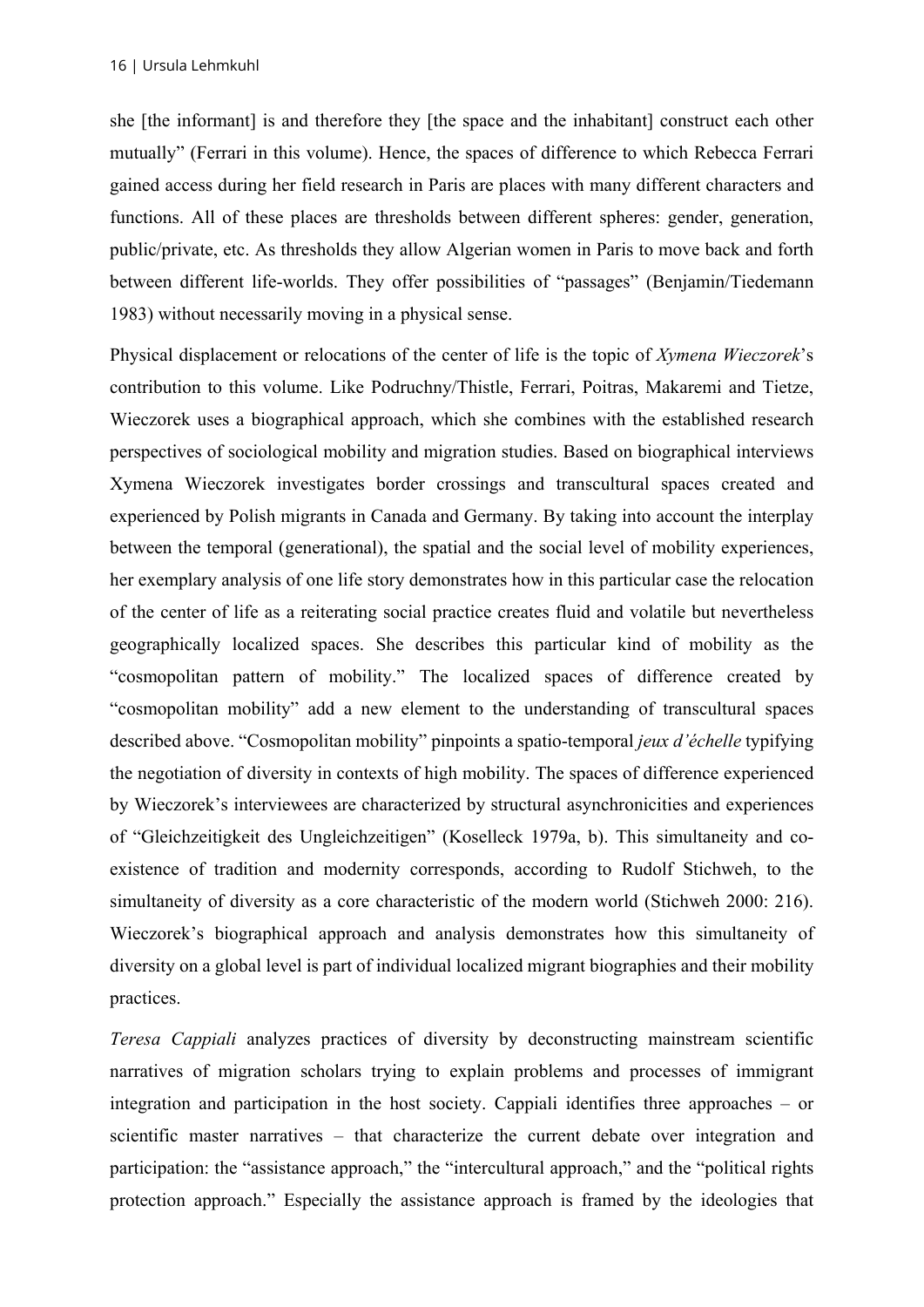she [the informant] is and therefore they [the space and the inhabitant] construct each other mutually" (Ferrari in this volume). Hence, the spaces of difference to which Rebecca Ferrari gained access during her field research in Paris are places with many different characters and functions. All of these places are thresholds between different spheres: gender, generation, public/private, etc. As thresholds they allow Algerian women in Paris to move back and forth between different life-worlds. They offer possibilities of "passages" (Benjamin/Tiedemann 1983) without necessarily moving in a physical sense.

Physical displacement or relocations of the center of life is the topic of *Xymena Wieczorek*'s contribution to this volume. Like Podruchny/Thistle, Ferrari, Poitras, Makaremi and Tietze, Wieczorek uses a biographical approach, which she combines with the established research perspectives of sociological mobility and migration studies. Based on biographical interviews Xymena Wieczorek investigates border crossings and transcultural spaces created and experienced by Polish migrants in Canada and Germany. By taking into account the interplay between the temporal (generational), the spatial and the social level of mobility experiences, her exemplary analysis of one life story demonstrates how in this particular case the relocation of the center of life as a reiterating social practice creates fluid and volatile but nevertheless geographically localized spaces. She describes this particular kind of mobility as the "cosmopolitan pattern of mobility." The localized spaces of difference created by "cosmopolitan mobility" add a new element to the understanding of transcultural spaces described above. "Cosmopolitan mobility" pinpoints a spatio-temporal *jeux d'échelle* typifying the negotiation of diversity in contexts of high mobility. The spaces of difference experienced by Wieczorek's interviewees are characterized by structural asynchronicities and experiences of "Gleichzeitigkeit des Ungleichzeitigen" (Koselleck 1979a, b). This simultaneity and coexistence of tradition and modernity corresponds, according to Rudolf Stichweh, to the simultaneity of diversity as a core characteristic of the modern world (Stichweh 2000: 216). Wieczorek's biographical approach and analysis demonstrates how this simultaneity of diversity on a global level is part of individual localized migrant biographies and their mobility practices.

*Teresa Cappiali* analyzes practices of diversity by deconstructing mainstream scientific narratives of migration scholars trying to explain problems and processes of immigrant integration and participation in the host society. Cappiali identifies three approaches – or scientific master narratives – that characterize the current debate over integration and participation: the "assistance approach," the "intercultural approach," and the "political rights protection approach." Especially the assistance approach is framed by the ideologies that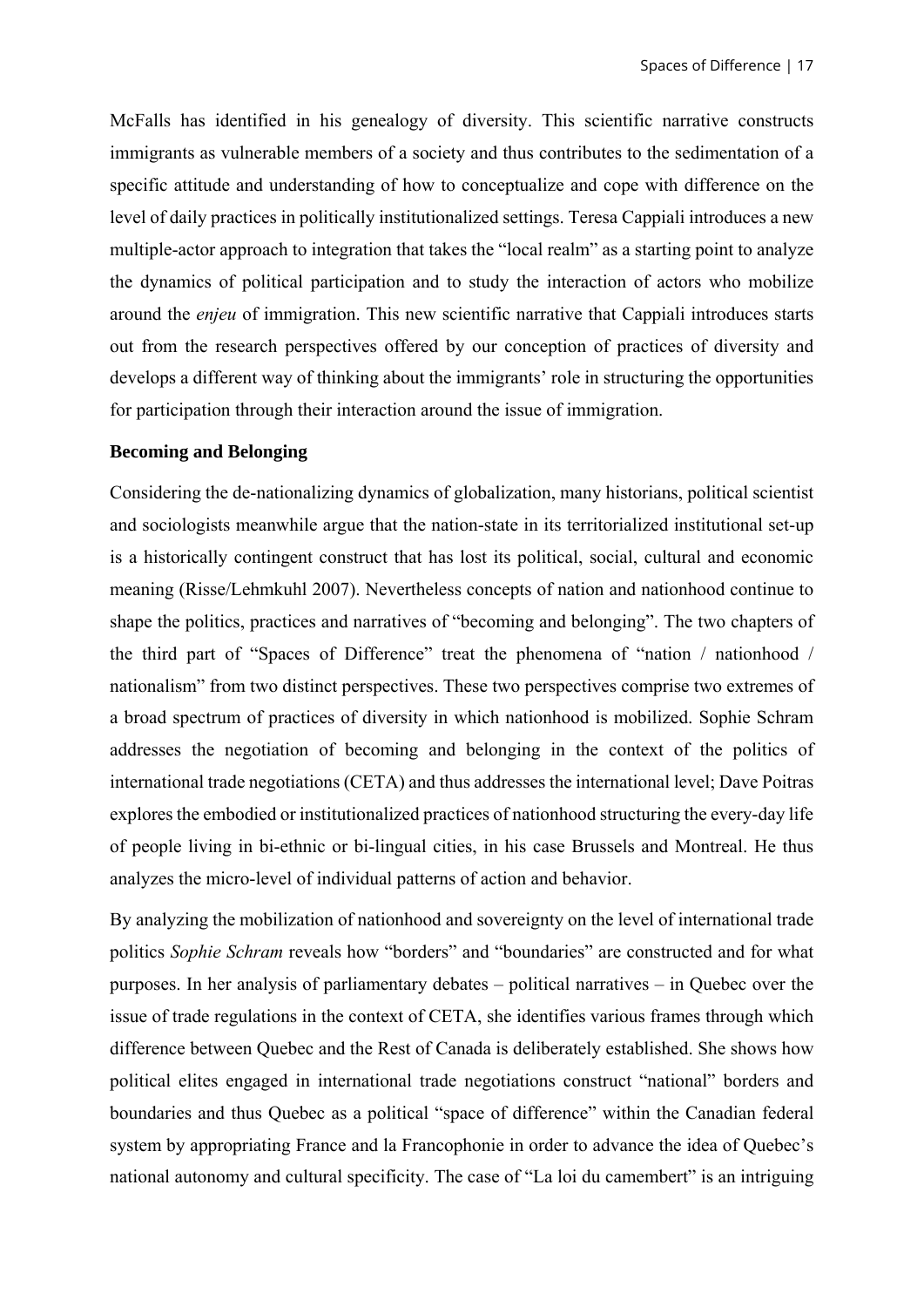McFalls has identified in his genealogy of diversity. This scientific narrative constructs immigrants as vulnerable members of a society and thus contributes to the sedimentation of a specific attitude and understanding of how to conceptualize and cope with difference on the level of daily practices in politically institutionalized settings. Teresa Cappiali introduces a new multiple-actor approach to integration that takes the "local realm" as a starting point to analyze the dynamics of political participation and to study the interaction of actors who mobilize around the *enjeu* of immigration. This new scientific narrative that Cappiali introduces starts out from the research perspectives offered by our conception of practices of diversity and develops a different way of thinking about the immigrants' role in structuring the opportunities for participation through their interaction around the issue of immigration.

#### **Becoming and Belonging**

Considering the de-nationalizing dynamics of globalization, many historians, political scientist and sociologists meanwhile argue that the nation-state in its territorialized institutional set-up is a historically contingent construct that has lost its political, social, cultural and economic meaning (Risse/Lehmkuhl 2007). Nevertheless concepts of nation and nationhood continue to shape the politics, practices and narratives of "becoming and belonging". The two chapters of the third part of "Spaces of Difference" treat the phenomena of "nation / nationhood / nationalism" from two distinct perspectives. These two perspectives comprise two extremes of a broad spectrum of practices of diversity in which nationhood is mobilized. Sophie Schram addresses the negotiation of becoming and belonging in the context of the politics of international trade negotiations (CETA) and thus addresses the international level; Dave Poitras explores the embodied or institutionalized practices of nationhood structuring the every-day life of people living in bi-ethnic or bi-lingual cities, in his case Brussels and Montreal. He thus analyzes the micro-level of individual patterns of action and behavior.

By analyzing the mobilization of nationhood and sovereignty on the level of international trade politics *Sophie Schram* reveals how "borders" and "boundaries" are constructed and for what purposes. In her analysis of parliamentary debates – political narratives – in Quebec over the issue of trade regulations in the context of CETA, she identifies various frames through which difference between Quebec and the Rest of Canada is deliberately established. She shows how political elites engaged in international trade negotiations construct "national" borders and boundaries and thus Quebec as a political "space of difference" within the Canadian federal system by appropriating France and la Francophonie in order to advance the idea of Quebec's national autonomy and cultural specificity. The case of "La loi du camembert" is an intriguing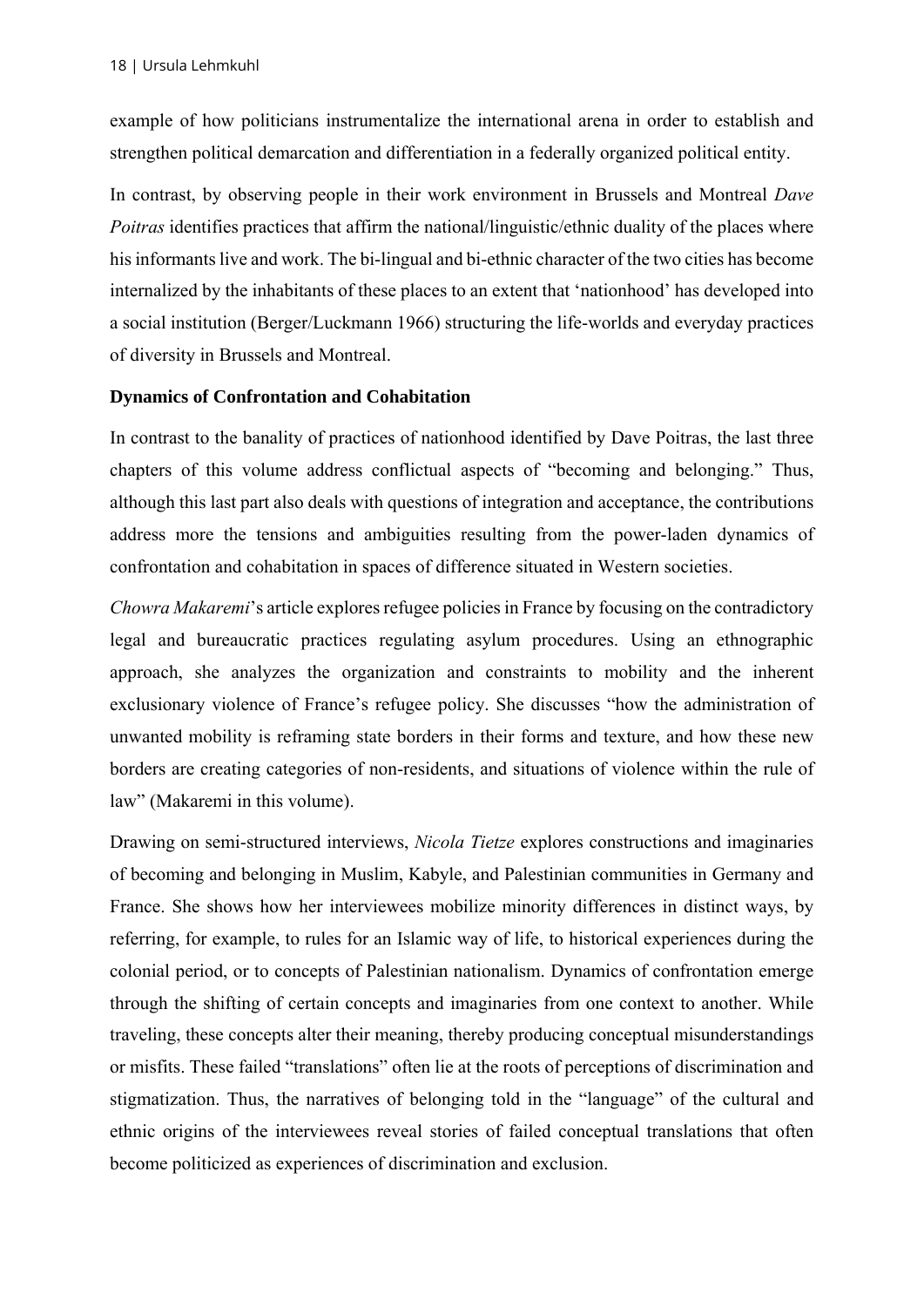example of how politicians instrumentalize the international arena in order to establish and strengthen political demarcation and differentiation in a federally organized political entity.

In contrast, by observing people in their work environment in Brussels and Montreal *Dave Poitras* identifies practices that affirm the national/linguistic/ethnic duality of the places where his informants live and work. The bi-lingual and bi-ethnic character of the two cities has become internalized by the inhabitants of these places to an extent that 'nationhood' has developed into a social institution (Berger/Luckmann 1966) structuring the life-worlds and everyday practices of diversity in Brussels and Montreal.

### **Dynamics of Confrontation and Cohabitation**

In contrast to the banality of practices of nationhood identified by Dave Poitras, the last three chapters of this volume address conflictual aspects of "becoming and belonging." Thus, although this last part also deals with questions of integration and acceptance, the contributions address more the tensions and ambiguities resulting from the power-laden dynamics of confrontation and cohabitation in spaces of difference situated in Western societies.

*Chowra Makaremi*'s article explores refugee policies in France by focusing on the contradictory legal and bureaucratic practices regulating asylum procedures. Using an ethnographic approach, she analyzes the organization and constraints to mobility and the inherent exclusionary violence of France's refugee policy. She discusses "how the administration of unwanted mobility is reframing state borders in their forms and texture, and how these new borders are creating categories of non-residents, and situations of violence within the rule of law" (Makaremi in this volume).

Drawing on semi-structured interviews, *Nicola Tietze* explores constructions and imaginaries of becoming and belonging in Muslim, Kabyle, and Palestinian communities in Germany and France. She shows how her interviewees mobilize minority differences in distinct ways, by referring, for example, to rules for an Islamic way of life, to historical experiences during the colonial period, or to concepts of Palestinian nationalism. Dynamics of confrontation emerge through the shifting of certain concepts and imaginaries from one context to another. While traveling, these concepts alter their meaning, thereby producing conceptual misunderstandings or misfits. These failed "translations" often lie at the roots of perceptions of discrimination and stigmatization. Thus, the narratives of belonging told in the "language" of the cultural and ethnic origins of the interviewees reveal stories of failed conceptual translations that often become politicized as experiences of discrimination and exclusion.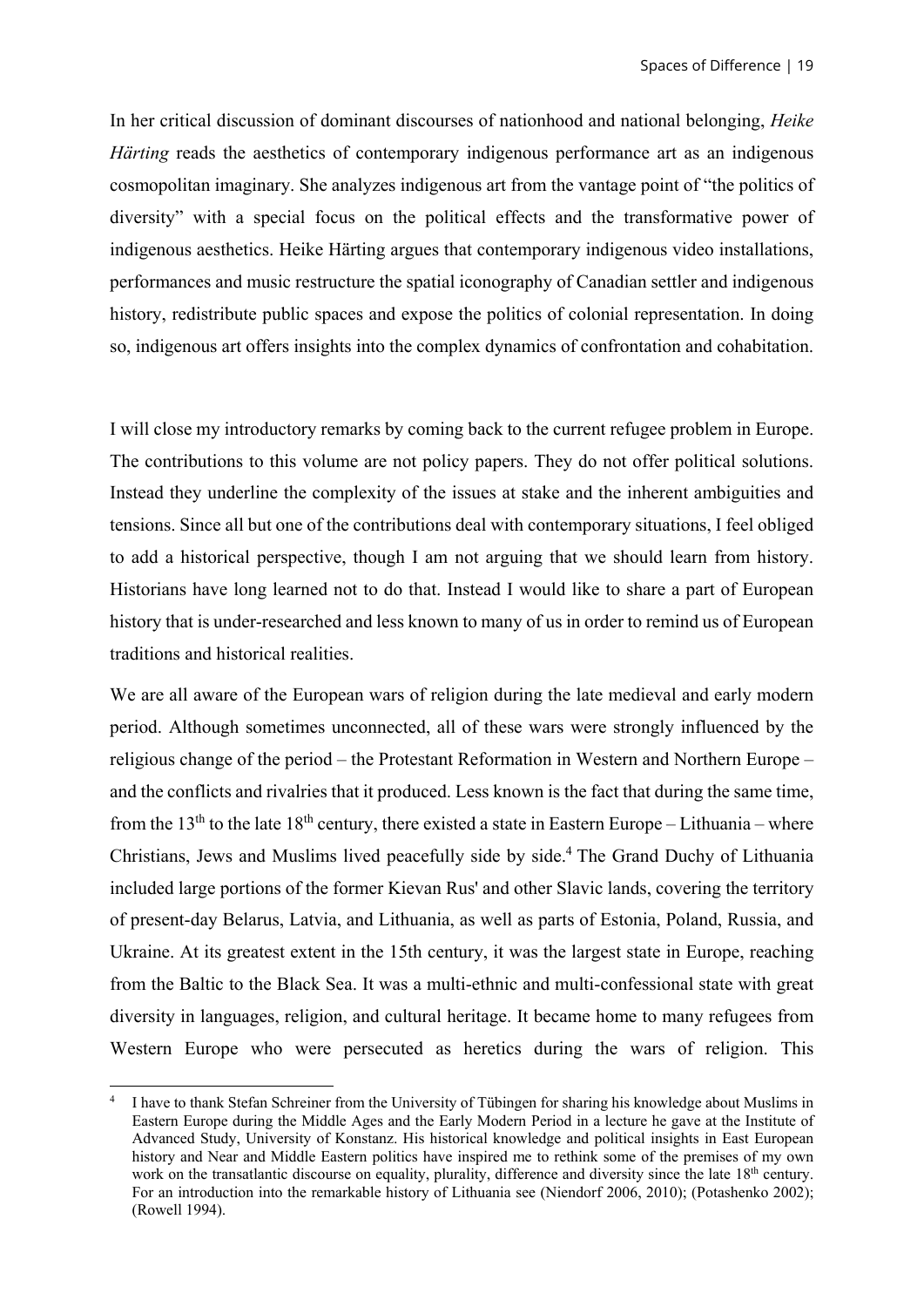In her critical discussion of dominant discourses of nationhood and national belonging, *Heike Härting* reads the aesthetics of contemporary indigenous performance art as an indigenous cosmopolitan imaginary. She analyzes indigenous art from the vantage point of "the politics of diversity" with a special focus on the political effects and the transformative power of indigenous aesthetics. Heike Härting argues that contemporary indigenous video installations, performances and music restructure the spatial iconography of Canadian settler and indigenous history, redistribute public spaces and expose the politics of colonial representation. In doing so, indigenous art offers insights into the complex dynamics of confrontation and cohabitation.

I will close my introductory remarks by coming back to the current refugee problem in Europe. The contributions to this volume are not policy papers. They do not offer political solutions. Instead they underline the complexity of the issues at stake and the inherent ambiguities and tensions. Since all but one of the contributions deal with contemporary situations, I feel obliged to add a historical perspective, though I am not arguing that we should learn from history. Historians have long learned not to do that. Instead I would like to share a part of European history that is under-researched and less known to many of us in order to remind us of European traditions and historical realities.

We are all aware of the European wars of religion during the late medieval and early modern period. Although sometimes unconnected, all of these wars were strongly influenced by the religious change of the period – the Protestant Reformation in Western and Northern Europe – and the conflicts and rivalries that it produced. Less known is the fact that during the same time, from the 13<sup>th</sup> to the late 18<sup>th</sup> century, there existed a state in Eastern Europe – Lithuania – where Christians, Jews and Muslims lived peacefully side by side.4 The Grand Duchy of Lithuania included large portions of the former Kievan Rus' and other Slavic lands, covering the territory of present-day Belarus, Latvia, and Lithuania, as well as parts of Estonia, Poland, Russia, and Ukraine. At its greatest extent in the 15th century, it was the largest state in Europe, reaching from the Baltic to the Black Sea. It was a multi-ethnic and multi-confessional state with great diversity in languages, religion, and cultural heritage. It became home to many refugees from Western Europe who were persecuted as heretics during the wars of religion. This

<sup>4</sup> I have to thank Stefan Schreiner from the University of Tübingen for sharing his knowledge about Muslims in Eastern Europe during the Middle Ages and the Early Modern Period in a lecture he gave at the Institute of Advanced Study, University of Konstanz. His historical knowledge and political insights in East European history and Near and Middle Eastern politics have inspired me to rethink some of the premises of my own work on the transatlantic discourse on equality, plurality, difference and diversity since the late 18<sup>th</sup> century. For an introduction into the remarkable history of Lithuania see (Niendorf 2006, 2010); (Potashenko 2002); (Rowell 1994).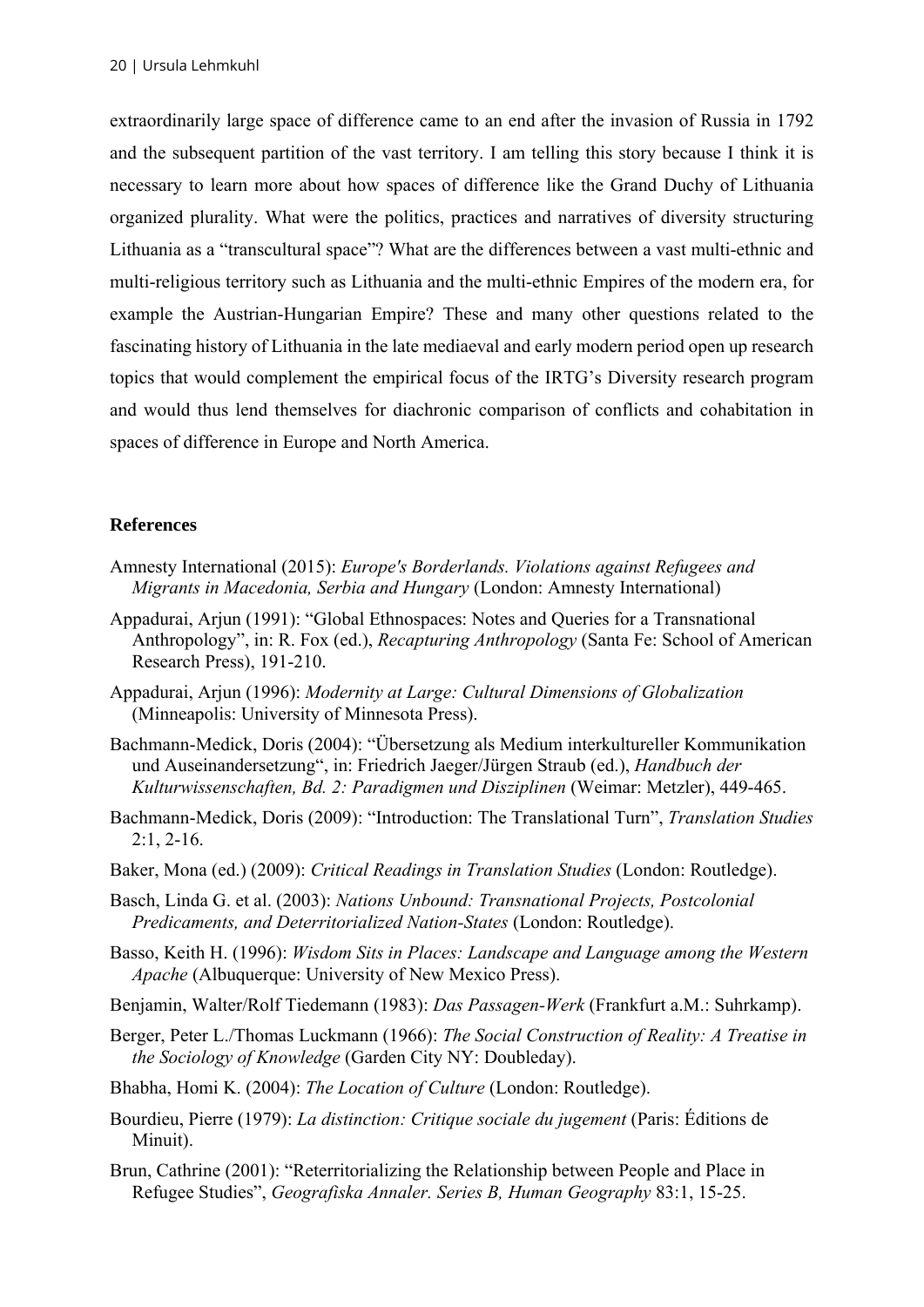extraordinarily large space of difference came to an end after the invasion of Russia in 1792 and the subsequent partition of the vast territory. I am telling this story because I think it is necessary to learn more about how spaces of difference like the Grand Duchy of Lithuania organized plurality. What were the politics, practices and narratives of diversity structuring Lithuania as a "transcultural space"? What are the differences between a vast multi-ethnic and multi-religious territory such as Lithuania and the multi-ethnic Empires of the modern era, for example the Austrian-Hungarian Empire? These and many other questions related to the fascinating history of Lithuania in the late mediaeval and early modern period open up research topics that would complement the empirical focus of the IRTG's Diversity research program and would thus lend themselves for diachronic comparison of conflicts and cohabitation in spaces of difference in Europe and North America.

#### **References**

- Amnesty International (2015): *Europe's Borderlands. Violations against Refugees and Migrants in Macedonia, Serbia and Hungary* (London: Amnesty International)
- Appadurai, Arjun (1991): "Global Ethnospaces: Notes and Queries for a Transnational Anthropology", in: R. Fox (ed.), *Recapturing Anthropology* (Santa Fe: School of American Research Press), 191-210.
- Appadurai, Arjun (1996): *Modernity at Large: Cultural Dimensions of Globalization*  (Minneapolis: University of Minnesota Press).
- Bachmann-Medick, Doris (2004): "Übersetzung als Medium interkultureller Kommunikation und Auseinandersetzung", in: Friedrich Jaeger/Jürgen Straub (ed.), *Handbuch der Kulturwissenschaften, Bd. 2: Paradigmen und Disziplinen* (Weimar: Metzler), 449-465.
- Bachmann-Medick, Doris (2009): "Introduction: The Translational Turn", *Translation Studies*  2:1, 2-16.
- Baker, Mona (ed.) (2009): *Critical Readings in Translation Studies* (London: Routledge).
- Basch, Linda G. et al. (2003): *Nations Unbound: Transnational Projects, Postcolonial Predicaments, and Deterritorialized Nation-States* (London: Routledge).
- Basso, Keith H. (1996): *Wisdom Sits in Places: Landscape and Language among the Western Apache* (Albuquerque: University of New Mexico Press).
- Benjamin, Walter/Rolf Tiedemann (1983): *Das Passagen-Werk* (Frankfurt a.M.: Suhrkamp).
- Berger, Peter L./Thomas Luckmann (1966): *The Social Construction of Reality: A Treatise in the Sociology of Knowledge* (Garden City NY: Doubleday).
- Bhabha, Homi K. (2004): *The Location of Culture* (London: Routledge).
- Bourdieu, Pierre (1979): *La distinction: Critique sociale du jugement* (Paris: Éditions de Minuit).
- Brun, Cathrine (2001): "Reterritorializing the Relationship between People and Place in Refugee Studies", *Geografiska Annaler. Series B, Human Geography* 83:1, 15-25.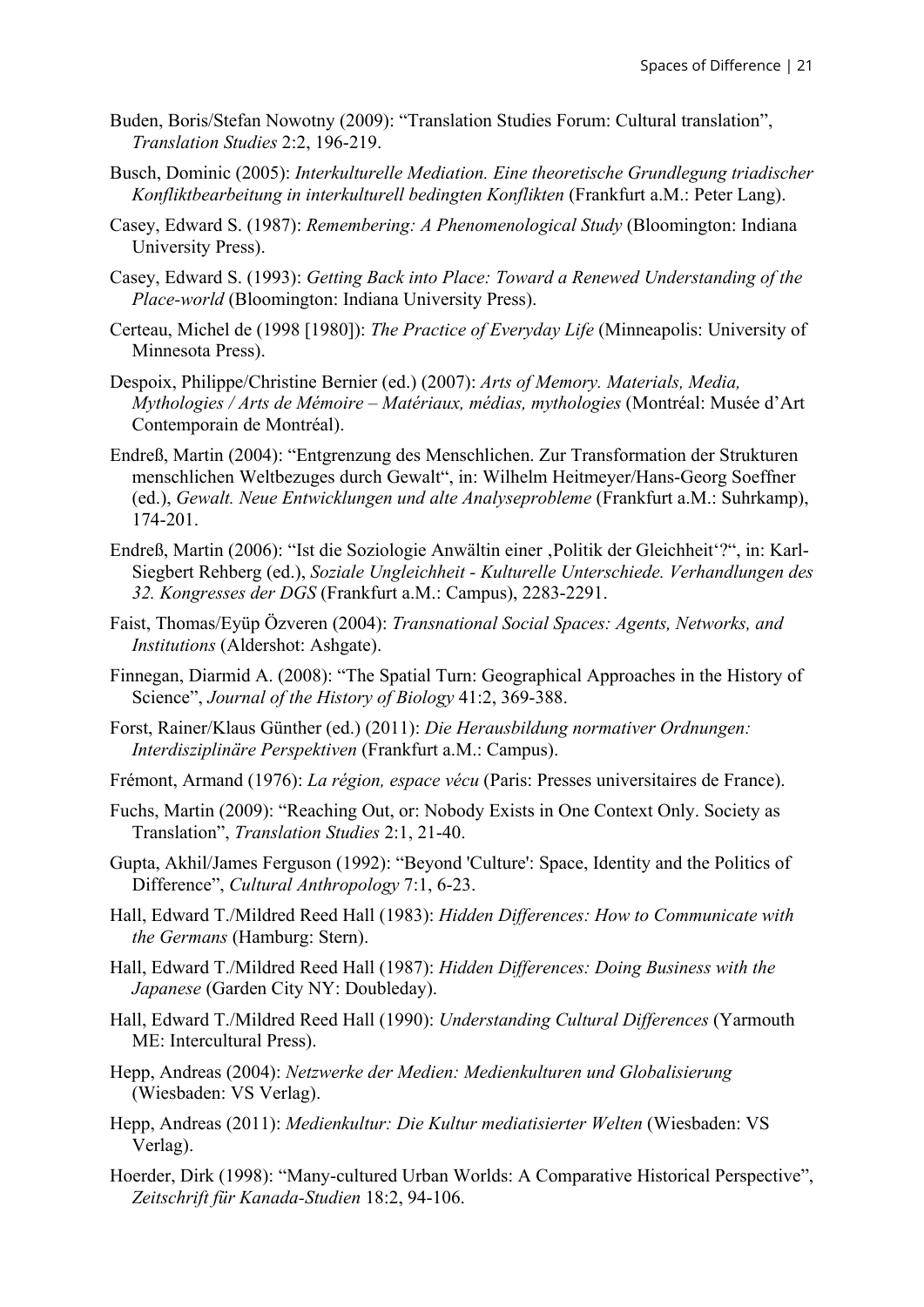- Buden, Boris/Stefan Nowotny (2009): "Translation Studies Forum: Cultural translation", *Translation Studies* 2:2, 196-219.
- Busch, Dominic (2005): *Interkulturelle Mediation. Eine theoretische Grundlegung triadischer Konfliktbearbeitung in interkulturell bedingten Konflikten* (Frankfurt a.M.: Peter Lang).
- Casey, Edward S. (1987): *Remembering: A Phenomenological Study* (Bloomington: Indiana University Press).
- Casey, Edward S. (1993): *Getting Back into Place: Toward a Renewed Understanding of the Place-world* (Bloomington: Indiana University Press).
- Certeau, Michel de (1998 [1980]): *The Practice of Everyday Life* (Minneapolis: University of Minnesota Press).
- Despoix, Philippe/Christine Bernier (ed.) (2007): *Arts of Memory. Materials, Media, Mythologies / Arts de Mémoire – Matériaux, médias, mythologies* (Montréal: Musée d'Art Contemporain de Montréal).
- Endreß, Martin (2004): "Entgrenzung des Menschlichen. Zur Transformation der Strukturen menschlichen Weltbezuges durch Gewalt", in: Wilhelm Heitmeyer/Hans-Georg Soeffner (ed.), *Gewalt. Neue Entwicklungen und alte Analyseprobleme* (Frankfurt a.M.: Suhrkamp), 174-201.
- Endreß, Martin (2006): "Ist die Soziologie Anwältin einer , Politik der Gleichheit'?", in: Karl-Siegbert Rehberg (ed.), *Soziale Ungleichheit - Kulturelle Unterschiede. Verhandlungen des 32. Kongresses der DGS* (Frankfurt a.M.: Campus), 2283-2291.
- Faist, Thomas/Eyüp Özveren (2004): *Transnational Social Spaces: Agents, Networks, and Institutions* (Aldershot: Ashgate).
- Finnegan, Diarmid A. (2008): "The Spatial Turn: Geographical Approaches in the History of Science", *Journal of the History of Biology* 41:2, 369-388.
- Forst, Rainer/Klaus Günther (ed.) (2011): *Die Herausbildung normativer Ordnungen: Interdisziplinäre Perspektiven* (Frankfurt a.M.: Campus).
- Frémont, Armand (1976): *La région, espace vécu* (Paris: Presses universitaires de France).
- Fuchs, Martin (2009): "Reaching Out, or: Nobody Exists in One Context Only. Society as Translation", *Translation Studies* 2:1, 21-40.
- Gupta, Akhil/James Ferguson (1992): "Beyond 'Culture': Space, Identity and the Politics of Difference", *Cultural Anthropology* 7:1, 6-23.
- Hall, Edward T./Mildred Reed Hall (1983): *Hidden Differences: How to Communicate with the Germans* (Hamburg: Stern).
- Hall, Edward T./Mildred Reed Hall (1987): *Hidden Differences: Doing Business with the Japanese* (Garden City NY: Doubleday).
- Hall, Edward T./Mildred Reed Hall (1990): *Understanding Cultural Differences* (Yarmouth ME: Intercultural Press).
- Hepp, Andreas (2004): *Netzwerke der Medien: Medienkulturen und Globalisierung*  (Wiesbaden: VS Verlag).
- Hepp, Andreas (2011): *Medienkultur: Die Kultur mediatisierter Welten* (Wiesbaden: VS Verlag).
- Hoerder, Dirk (1998): "Many-cultured Urban Worlds: A Comparative Historical Perspective", *Zeitschrift für Kanada-Studien* 18:2, 94-106.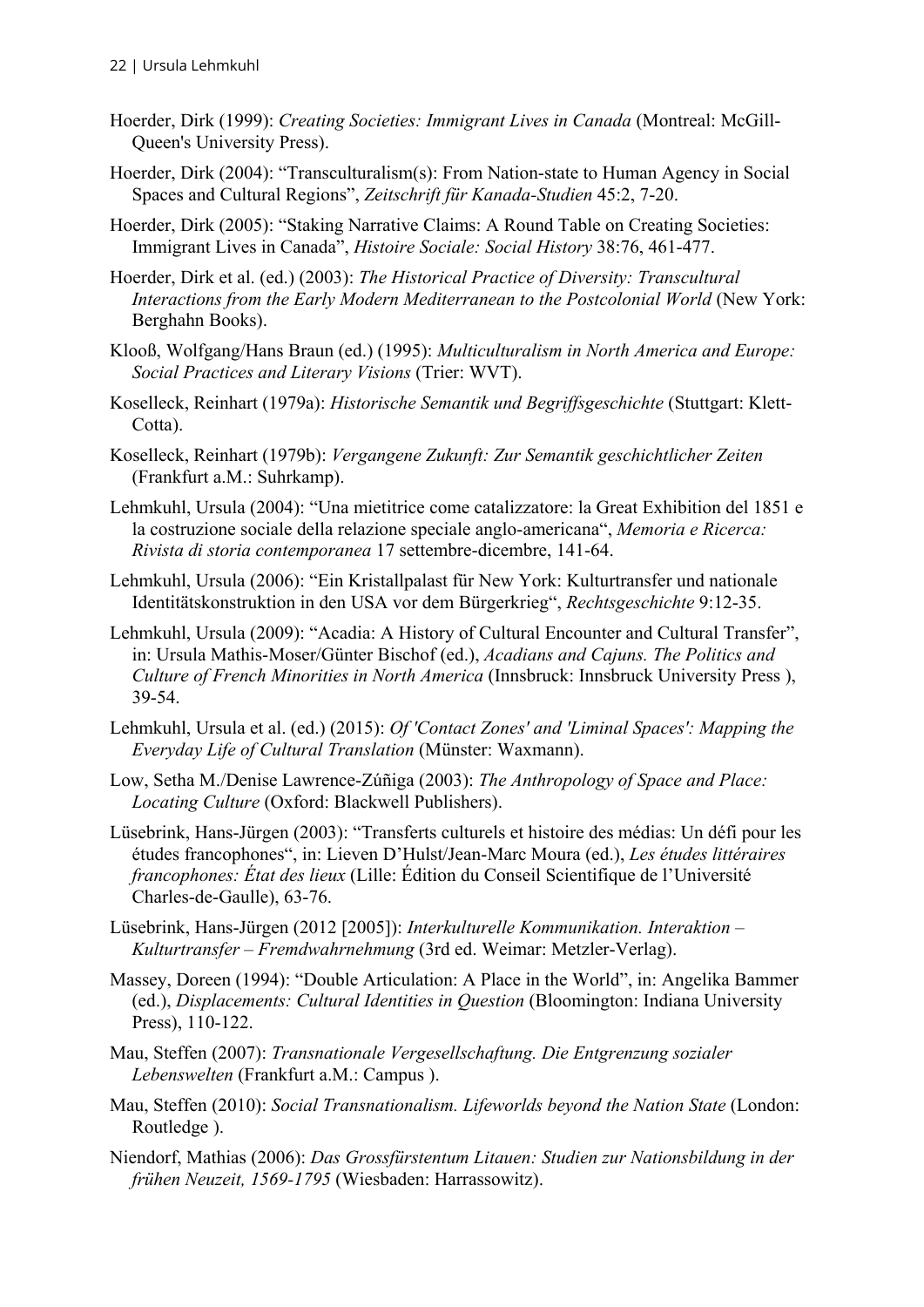- Hoerder, Dirk (1999): *Creating Societies: Immigrant Lives in Canada* (Montreal: McGill-Queen's University Press).
- Hoerder, Dirk (2004): "Transculturalism(s): From Nation-state to Human Agency in Social Spaces and Cultural Regions", *Zeitschrift für Kanada-Studien* 45:2, 7-20.
- Hoerder, Dirk (2005): "Staking Narrative Claims: A Round Table on Creating Societies: Immigrant Lives in Canada", *Histoire Sociale: Social History* 38:76, 461-477.
- Hoerder, Dirk et al. (ed.) (2003): *The Historical Practice of Diversity: Transcultural Interactions from the Early Modern Mediterranean to the Postcolonial World* (New York: Berghahn Books).
- Klooß, Wolfgang/Hans Braun (ed.) (1995): *Multiculturalism in North America and Europe: Social Practices and Literary Visions* (Trier: WVT).
- Koselleck, Reinhart (1979a): *Historische Semantik und Begriffsgeschichte* (Stuttgart: Klett-Cotta).
- Koselleck, Reinhart (1979b): *Vergangene Zukunft: Zur Semantik geschichtlicher Zeiten*  (Frankfurt a.M.: Suhrkamp).
- Lehmkuhl, Ursula (2004): "Una mietitrice come catalizzatore: la Great Exhibition del 1851 e la costruzione sociale della relazione speciale anglo-americana", *Memoria e Ricerca: Rivista di storia contemporanea* 17 settembre-dicembre, 141-64.
- Lehmkuhl, Ursula (2006): "Ein Kristallpalast für New York: Kulturtransfer und nationale Identitätskonstruktion in den USA vor dem Bürgerkrieg", *Rechtsgeschichte* 9:12-35.
- Lehmkuhl, Ursula (2009): "Acadia: A History of Cultural Encounter and Cultural Transfer", in: Ursula Mathis-Moser/Günter Bischof (ed.), *Acadians and Cajuns. The Politics and Culture of French Minorities in North America* (Innsbruck: Innsbruck University Press ), 39-54.
- Lehmkuhl, Ursula et al. (ed.) (2015): *Of 'Contact Zones' and 'Liminal Spaces': Mapping the Everyday Life of Cultural Translation* (Münster: Waxmann).
- Low, Setha M./Denise Lawrence-Zúñiga (2003): *The Anthropology of Space and Place: Locating Culture* (Oxford: Blackwell Publishers).
- Lüsebrink, Hans-Jürgen (2003): "Transferts culturels et histoire des médias: Un défi pour les études francophones", in: Lieven D'Hulst/Jean-Marc Moura (ed.), *Les études littéraires francophones: État des lieux* (Lille: Édition du Conseil Scientifique de l'Université Charles-de-Gaulle), 63-76.
- Lüsebrink, Hans-Jürgen (2012 [2005]): *Interkulturelle Kommunikation. Interaktion Kulturtransfer – Fremdwahrnehmung* (3rd ed. Weimar: Metzler-Verlag).
- Massey, Doreen (1994): "Double Articulation: A Place in the World", in: Angelika Bammer (ed.), *Displacements: Cultural Identities in Question* (Bloomington: Indiana University Press), 110-122.
- Mau, Steffen (2007): *Transnationale Vergesellschaftung. Die Entgrenzung sozialer Lebenswelten* (Frankfurt a.M.: Campus ).
- Mau, Steffen (2010): *Social Transnationalism. Lifeworlds beyond the Nation State* (London: Routledge ).
- Niendorf, Mathias (2006): *Das Grossfürstentum Litauen: Studien zur Nationsbildung in der frühen Neuzeit, 1569-1795* (Wiesbaden: Harrassowitz).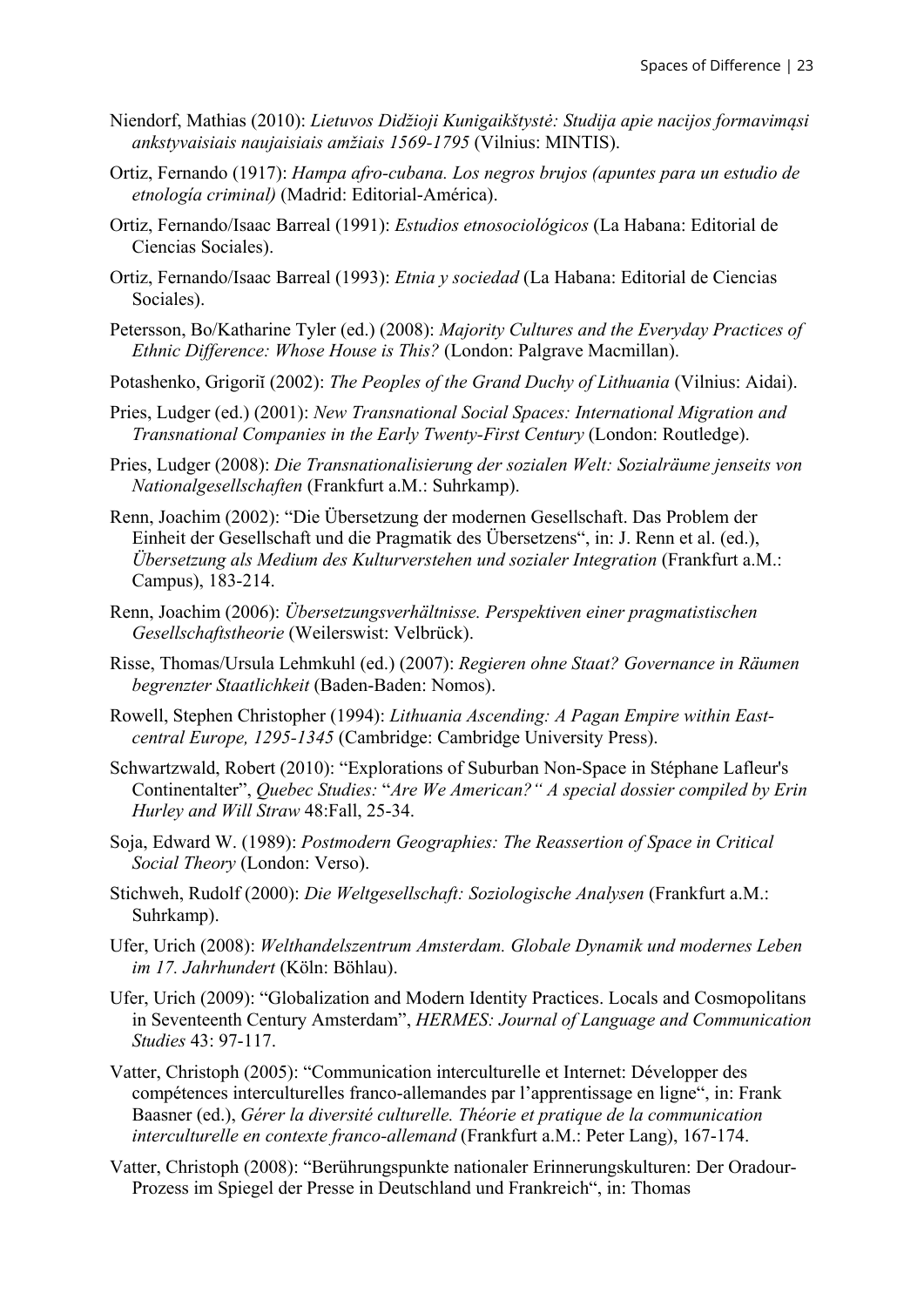- Niendorf, Mathias (2010): *Lietuvos Didžioji Kunigaikštystė: Studija apie nacijos formavimąsi ankstyvaisiais naujaisiais amžiais 1569-1795* (Vilnius: MINTIS).
- Ortiz, Fernando (1917): *Hampa afro-cubana. Los negros brujos (apuntes para un estudio de etnología criminal)* (Madrid: Editorial-América).
- Ortiz, Fernando/Isaac Barreal (1991): *Estudios etnosociológicos* (La Habana: Editorial de Ciencias Sociales).
- Ortiz, Fernando/Isaac Barreal (1993): *Etnia y sociedad* (La Habana: Editorial de Ciencias Sociales).
- Petersson, Bo/Katharine Tyler (ed.) (2008): *Majority Cultures and the Everyday Practices of Ethnic Difference: Whose House is This?* (London: Palgrave Macmillan).
- Potashenko, Grigoriĭ (2002): *The Peoples of the Grand Duchy of Lithuania* (Vilnius: Aidai).
- Pries, Ludger (ed.) (2001): *New Transnational Social Spaces: International Migration and Transnational Companies in the Early Twenty-First Century* (London: Routledge).
- Pries, Ludger (2008): *Die Transnationalisierung der sozialen Welt: Sozialräume jenseits von Nationalgesellschaften* (Frankfurt a.M.: Suhrkamp).
- Renn, Joachim (2002): "Die Übersetzung der modernen Gesellschaft. Das Problem der Einheit der Gesellschaft und die Pragmatik des Übersetzens", in: J. Renn et al. (ed.), *Übersetzung als Medium des Kulturverstehen und sozialer Integration* (Frankfurt a.M.: Campus), 183-214.
- Renn, Joachim (2006): *Übersetzungsverhältnisse. Perspektiven einer pragmatistischen Gesellschaftstheorie* (Weilerswist: Velbrück).
- Risse, Thomas/Ursula Lehmkuhl (ed.) (2007): *Regieren ohne Staat? Governance in Räumen begrenzter Staatlichkeit* (Baden-Baden: Nomos).
- Rowell, Stephen Christopher (1994): *Lithuania Ascending: A Pagan Empire within Eastcentral Europe, 1295-1345* (Cambridge: Cambridge University Press).
- Schwartzwald, Robert (2010): "Explorations of Suburban Non-Space in Stéphane Lafleur's Continentalter", *Quebec Studies:* "*Are We American?" A special dossier compiled by Erin Hurley and Will Straw* 48:Fall, 25-34.
- Soja, Edward W. (1989): *Postmodern Geographies: The Reassertion of Space in Critical Social Theory* (London: Verso).
- Stichweh, Rudolf (2000): *Die Weltgesellschaft: Soziologische Analysen* (Frankfurt a.M.: Suhrkamp).
- Ufer, Urich (2008): *Welthandelszentrum Amsterdam. Globale Dynamik und modernes Leben im 17. Jahrhundert* (Köln: Böhlau).
- Ufer, Urich (2009): "Globalization and Modern Identity Practices. Locals and Cosmopolitans in Seventeenth Century Amsterdam", *HERMES: Journal of Language and Communication Studies* 43: 97-117.
- Vatter, Christoph (2005): "Communication interculturelle et Internet: Développer des compétences interculturelles franco-allemandes par l'apprentissage en ligne", in: Frank Baasner (ed.), *Gérer la diversité culturelle. Théorie et pratique de la communication interculturelle en contexte franco-allemand* (Frankfurt a.M.: Peter Lang), 167-174.
- Vatter, Christoph (2008): "Berührungspunkte nationaler Erinnerungskulturen: Der Oradour-Prozess im Spiegel der Presse in Deutschland und Frankreich", in: Thomas